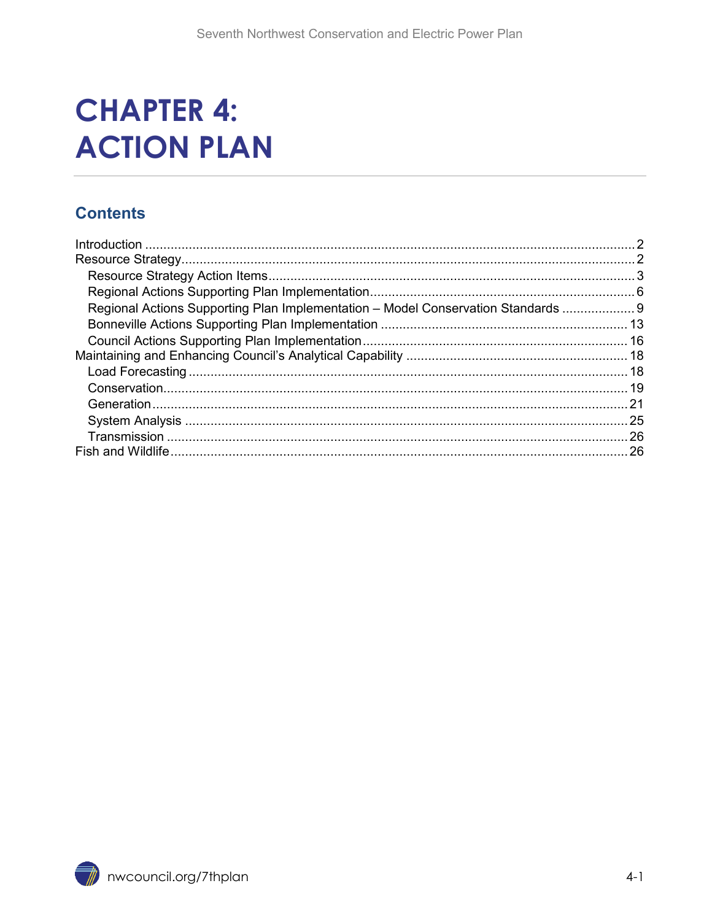# **CHAPTER 4: ACTION PLAN**

#### **Contents**

| Regional Actions Supporting Plan Implementation - Model Conservation Standards  9 |  |
|-----------------------------------------------------------------------------------|--|
|                                                                                   |  |
|                                                                                   |  |
|                                                                                   |  |
|                                                                                   |  |
|                                                                                   |  |
|                                                                                   |  |
|                                                                                   |  |
|                                                                                   |  |
|                                                                                   |  |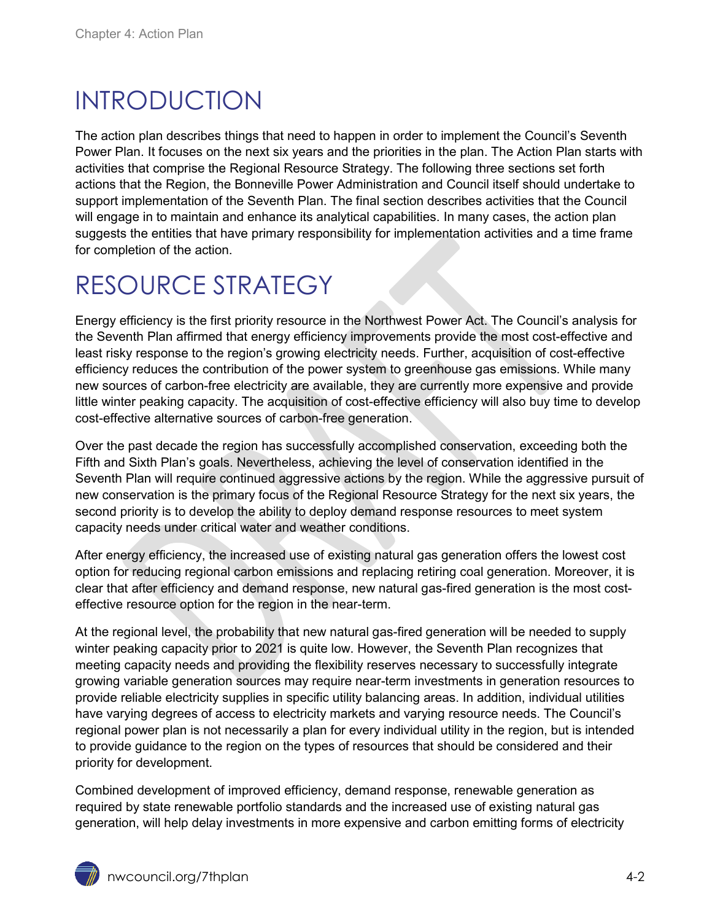# <span id="page-1-0"></span>INTRODUCTION

The action plan describes things that need to happen in order to implement the Council's Seventh Power Plan. It focuses on the next six years and the priorities in the plan. The Action Plan starts with activities that comprise the Regional Resource Strategy. The following three sections set forth actions that the Region, the Bonneville Power Administration and Council itself should undertake to support implementation of the Seventh Plan. The final section describes activities that the Council will engage in to maintain and enhance its analytical capabilities. In many cases, the action plan suggests the entities that have primary responsibility for implementation activities and a time frame for completion of the action.

# <span id="page-1-1"></span>RESOURCE STRATEGY

Energy efficiency is the first priority resource in the Northwest Power Act. The Council's analysis for the Seventh Plan affirmed that energy efficiency improvements provide the most cost-effective and least risky response to the region's growing electricity needs. Further, acquisition of cost-effective efficiency reduces the contribution of the power system to greenhouse gas emissions. While many new sources of carbon-free electricity are available, they are currently more expensive and provide little winter peaking capacity. The acquisition of cost-effective efficiency will also buy time to develop cost-effective alternative sources of carbon-free generation.

Over the past decade the region has successfully accomplished conservation, exceeding both the Fifth and Sixth Plan's goals. Nevertheless, achieving the level of conservation identified in the Seventh Plan will require continued aggressive actions by the region. While the aggressive pursuit of new conservation is the primary focus of the Regional Resource Strategy for the next six years, the second priority is to develop the ability to deploy demand response resources to meet system capacity needs under critical water and weather conditions.

After energy efficiency, the increased use of existing natural gas generation offers the lowest cost option for reducing regional carbon emissions and replacing retiring coal generation. Moreover, it is clear that after efficiency and demand response, new natural gas-fired generation is the most costeffective resource option for the region in the near-term.

At the regional level, the probability that new natural gas-fired generation will be needed to supply winter peaking capacity prior to 2021 is quite low. However, the Seventh Plan recognizes that meeting capacity needs and providing the flexibility reserves necessary to successfully integrate growing variable generation sources may require near-term investments in generation resources to provide reliable electricity supplies in specific utility balancing areas. In addition, individual utilities have varying degrees of access to electricity markets and varying resource needs. The Council's regional power plan is not necessarily a plan for every individual utility in the region, but is intended to provide guidance to the region on the types of resources that should be considered and their priority for development.

Combined development of improved efficiency, demand response, renewable generation as required by state renewable portfolio standards and the increased use of existing natural gas generation, will help delay investments in more expensive and carbon emitting forms of electricity

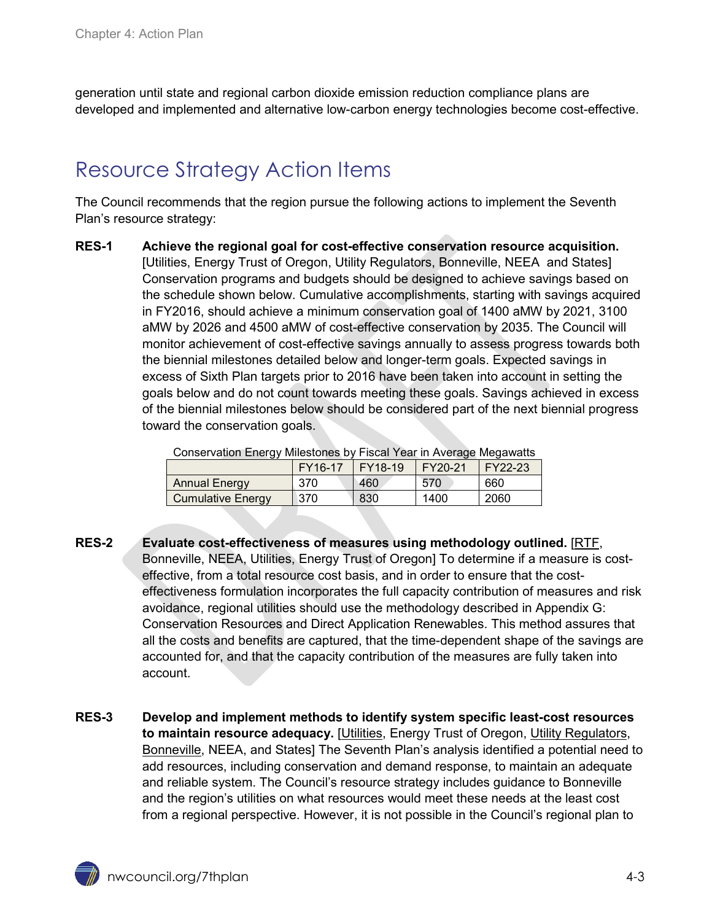generation until state and regional carbon dioxide emission reduction compliance plans are developed and implemented and alternative low-carbon energy technologies become cost-effective.

## <span id="page-2-0"></span>Resource Strategy Action Items

The Council recommends that the region pursue the following actions to implement the Seventh Plan's resource strategy:

**RES-1 Achieve the regional goal for cost-effective conservation resource acquisition.** [Utilities, Energy Trust of Oregon, Utility Regulators, Bonneville, NEEA and States] Conservation programs and budgets should be designed to achieve savings based on the schedule shown below. Cumulative accomplishments, starting with savings acquired in FY2016, should achieve a minimum conservation goal of 1400 aMW by 2021, 3100 aMW by 2026 and 4500 aMW of cost-effective conservation by 2035. The Council will monitor achievement of cost-effective savings annually to assess progress towards both the biennial milestones detailed below and longer-term goals. Expected savings in excess of Sixth Plan targets prior to 2016 have been taken into account in setting the goals below and do not count towards meeting these goals. Savings achieved in excess of the biennial milestones below should be considered part of the next biennial progress toward the conservation goals.

| Conservation Energy Milestones by Fiscal Year in Average Megawatts |         |         |         |         |  |
|--------------------------------------------------------------------|---------|---------|---------|---------|--|
|                                                                    | FY16-17 | FY18-19 | FY20-21 | FY22-23 |  |
| <b>Annual Energy</b>                                               | 370     | 460     | 570     | 660     |  |
| <b>Cumulative Energy</b>                                           | 370     | 830     | 1400    | 2060    |  |

- **RES-2 Evaluate cost-effectiveness of measures using methodology outlined.** [RTF, Bonneville, NEEA, Utilities, Energy Trust of Oregon] To determine if a measure is costeffective, from a total resource cost basis, and in order to ensure that the costeffectiveness formulation incorporates the full capacity contribution of measures and risk avoidance, regional utilities should use the methodology described in Appendix G: Conservation Resources and Direct Application Renewables. This method assures that all the costs and benefits are captured, that the time-dependent shape of the savings are accounted for, and that the capacity contribution of the measures are fully taken into account.
- **RES-3 Develop and implement methods to identify system specific least-cost resources to maintain resource adequacy.** [Utilities, Energy Trust of Oregon, Utility Regulators, Bonneville, NEEA, and States] The Seventh Plan's analysis identified a potential need to add resources, including conservation and demand response, to maintain an adequate and reliable system. The Council's resource strategy includes guidance to Bonneville and the region's utilities on what resources would meet these needs at the least cost from a regional perspective. However, it is not possible in the Council's regional plan to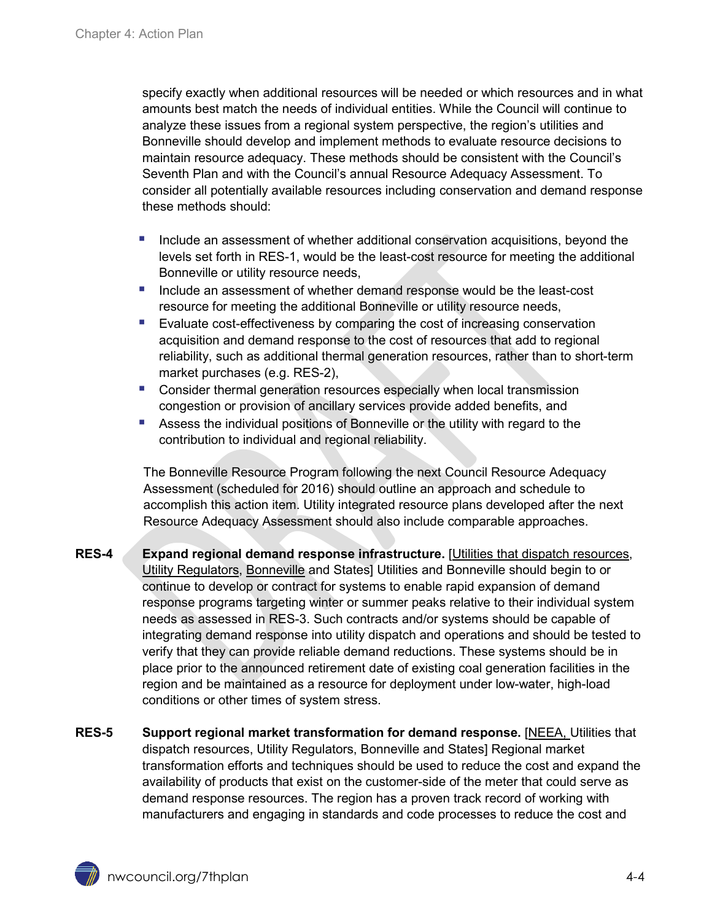specify exactly when additional resources will be needed or which resources and in what amounts best match the needs of individual entities. While the Council will continue to analyze these issues from a regional system perspective, the region's utilities and Bonneville should develop and implement methods to evaluate resource decisions to maintain resource adequacy. These methods should be consistent with the Council's Seventh Plan and with the Council's annual Resource Adequacy Assessment. To consider all potentially available resources including conservation and demand response these methods should:

- Include an assessment of whether additional conservation acquisitions, beyond the levels set forth in RES-1, would be the least-cost resource for meeting the additional Bonneville or utility resource needs,
- Include an assessment of whether demand response would be the least-cost resource for meeting the additional Bonneville or utility resource needs,
- **Evaluate cost-effectiveness by comparing the cost of increasing conservation** acquisition and demand response to the cost of resources that add to regional reliability, such as additional thermal generation resources, rather than to short-term market purchases (e.g. RES-2),
- **Consider thermal generation resources especially when local transmission** congestion or provision of ancillary services provide added benefits, and
- Assess the individual positions of Bonneville or the utility with regard to the contribution to individual and regional reliability.

The Bonneville Resource Program following the next Council Resource Adequacy Assessment (scheduled for 2016) should outline an approach and schedule to accomplish this action item. Utility integrated resource plans developed after the next Resource Adequacy Assessment should also include comparable approaches.

- **RES-4 Expand regional demand response infrastructure.** [Utilities that dispatch resources, Utility Regulators, Bonneville and States] Utilities and Bonneville should begin to or continue to develop or contract for systems to enable rapid expansion of demand response programs targeting winter or summer peaks relative to their individual system needs as assessed in RES-3. Such contracts and/or systems should be capable of integrating demand response into utility dispatch and operations and should be tested to verify that they can provide reliable demand reductions. These systems should be in place prior to the announced retirement date of existing coal generation facilities in the region and be maintained as a resource for deployment under low-water, high-load conditions or other times of system stress.
- <span id="page-3-0"></span>**RES-5** Support regional market transformation for demand response. [NEEA, Utilities that dispatch resources, Utility Regulators, Bonneville and States] Regional market transformation efforts and techniques should be used to reduce the cost and expand the availability of products that exist on the customer-side of the meter that could serve as demand response resources. The region has a proven track record of working with manufacturers and engaging in standards and code processes to reduce the cost and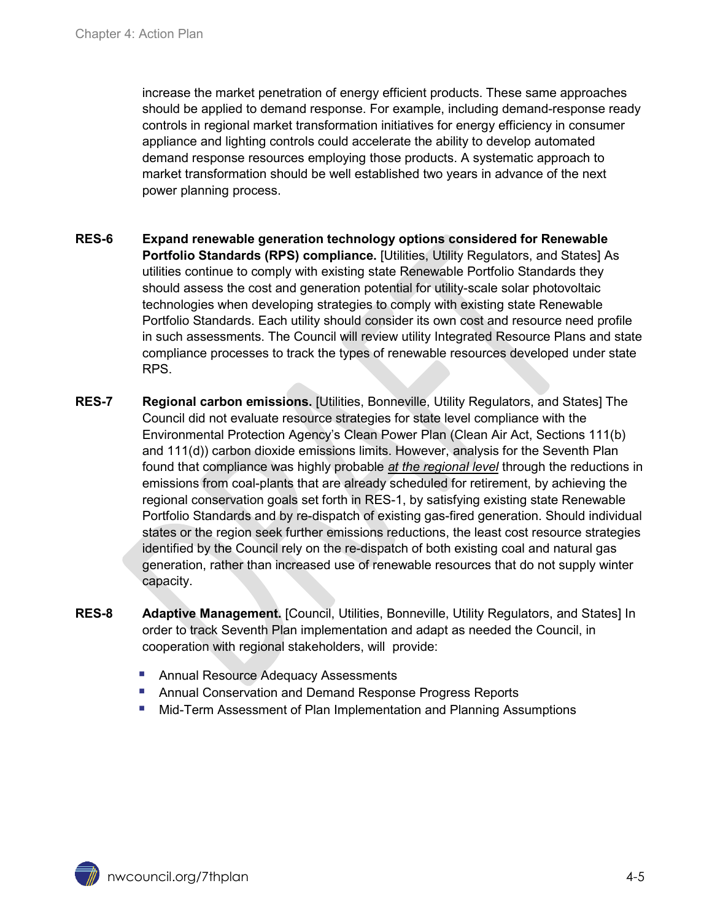increase the market penetration of energy efficient products. These same approaches should be applied to demand response. For example, including demand-response ready controls in regional market transformation initiatives for energy efficiency in consumer appliance and lighting controls could accelerate the ability to develop automated demand response resources employing those products. A systematic approach to market transformation should be well established two years in advance of the next power planning process.

- **RES-6 Expand renewable generation technology options considered for Renewable**  Portfolio Standards (RPS) compliance. [Utilities, Utility Regulators, and States] As utilities continue to comply with existing state Renewable Portfolio Standards they should assess the cost and generation potential for utility-scale solar photovoltaic technologies when developing strategies to comply with existing state Renewable Portfolio Standards. Each utility should consider its own cost and resource need profile in such assessments. The Council will review utility Integrated Resource Plans and state compliance processes to track the types of renewable resources developed under state RPS.
- **RES-7 Regional carbon emissions.** [Utilities, Bonneville, Utility Regulators, and States] The Council did not evaluate resource strategies for state level compliance with the Environmental Protection Agency's Clean Power Plan (Clean Air Act, Sections 111(b) and 111(d)) carbon dioxide emissions limits. However, analysis for the Seventh Plan found that compliance was highly probable *at the regional level* through the reductions in emissions from coal-plants that are already scheduled for retirement, by achieving the regional conservation goals set forth in RES-1, by satisfying existing state Renewable Portfolio Standards and by re-dispatch of existing gas-fired generation. Should individual states or the region seek further emissions reductions, the least cost resource strategies identified by the Council rely on the re-dispatch of both existing coal and natural gas generation, rather than increased use of renewable resources that do not supply winter capacity.
- <span id="page-4-0"></span>**RES-8 Adaptive Management.** [Council, Utilities, Bonneville, Utility Regulators, and States] In order to track Seventh Plan implementation and adapt as needed the Council, in cooperation with regional stakeholders, will provide:
	- Annual Resource Adequacy Assessments
	- Annual Conservation and Demand Response Progress Reports
	- Mid-Term Assessment of Plan Implementation and Planning Assumptions

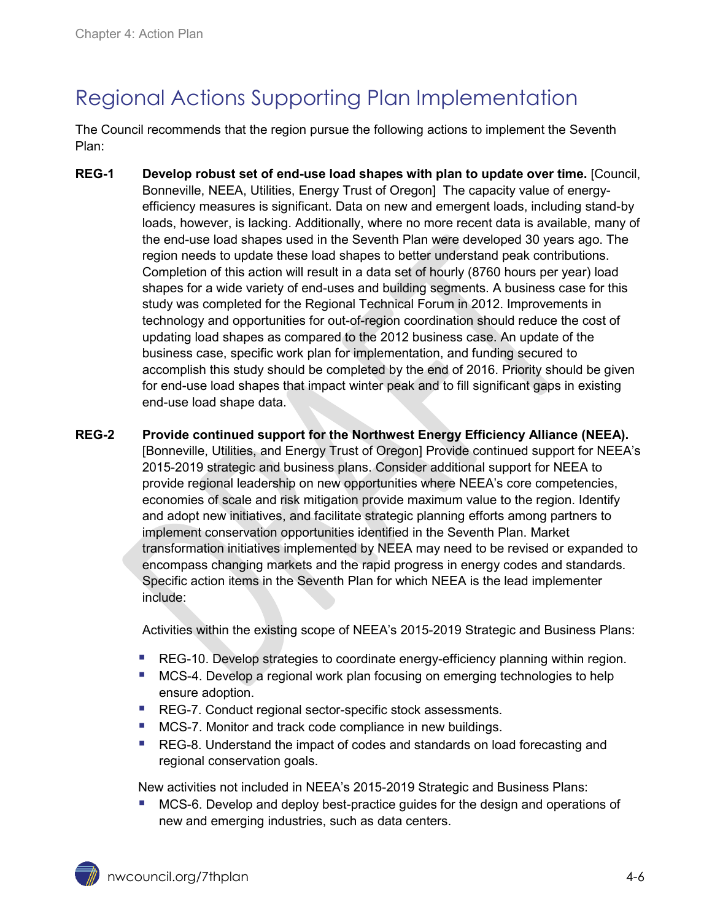# Regional Actions Supporting Plan Implementation

The Council recommends that the region pursue the following actions to implement the Seventh Plan:

- <span id="page-5-0"></span>**REG-1 Develop robust set of end-use load shapes with plan to update over time.** [Council, Bonneville, NEEA, Utilities, Energy Trust of Oregon] The capacity value of energyefficiency measures is significant. Data on new and emergent loads, including stand-by loads, however, is lacking. Additionally, where no more recent data is available, many of the end-use load shapes used in the Seventh Plan were developed 30 years ago. The region needs to update these load shapes to better understand peak contributions. Completion of this action will result in a data set of hourly (8760 hours per year) load shapes for a wide variety of end-uses and building segments. A business case for this study was completed for the Regional Technical Forum in 2012. Improvements in technology and opportunities for out-of-region coordination should reduce the cost of updating load shapes as compared to the 2012 business case. An update of the business case, specific work plan for implementation, and funding secured to accomplish this study should be completed by the end of 2016. Priority should be given for end-use load shapes that impact winter peak and to fill significant gaps in existing end-use load shape data.
- **REG-2 Provide continued support for the Northwest Energy Efficiency Alliance (NEEA).** [Bonneville, Utilities, and Energy Trust of Oregon] Provide continued support for NEEA's 2015-2019 strategic and business plans. Consider additional support for NEEA to provide regional leadership on new opportunities where NEEA's core competencies, economies of scale and risk mitigation provide maximum value to the region. Identify and adopt new initiatives, and facilitate strategic planning efforts among partners to implement conservation opportunities identified in the Seventh Plan. Market transformation initiatives implemented by NEEA may need to be revised or expanded to encompass changing markets and the rapid progress in energy codes and standards. Specific action items in the Seventh Plan for which NEEA is the lead implementer include:

Activities within the existing scope of NEEA's 2015-2019 Strategic and Business Plans:

- [REG-10.](#page-8-1) Develop strategies to coordinate energy-efficiency planning within region.
- [MCS-4.](#page-11-0) Develop a regional work plan focusing on emerging technologies to help ensure adoption.
- [REG-7.](#page-7-0) Conduct regional sector-specific stock assessments.
- **[MCS-7.](#page-12-1) Monitor and track code compliance in new buildings.**
- [REG-8.](#page-7-1) Understand the impact of codes and standards on load forecasting and regional conservation goals.

New activities not included in NEEA's 2015-2019 Strategic and Business Plans:

 [MCS-6.](#page-11-1) Develop and deploy best-practice guides for the design and operations of new and emerging industries, such as data centers.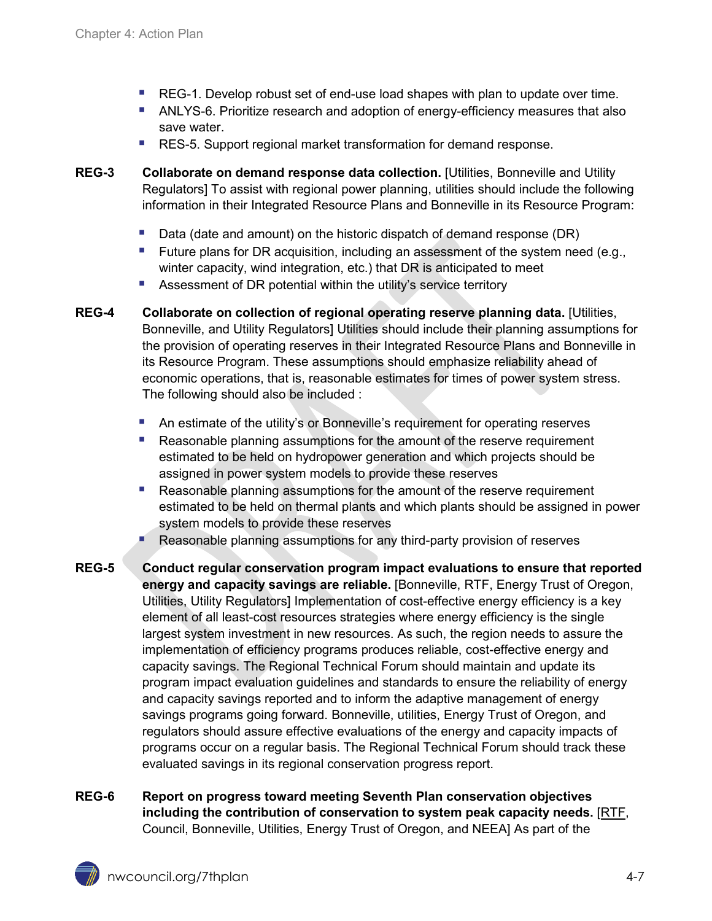- [REG-1.](#page-5-0) Develop robust set of end-use load shapes with plan to update over time.
- [ANLYS-6.](#page-18-1) Prioritize research and adoption of energy-efficiency measures that also save water.
- [RES-5.](#page-3-0) Support regional market transformation for demand response.
- **REG-3 Collaborate on demand response data collection.** [Utilities, Bonneville and Utility Regulators] To assist with regional power planning, utilities should include the following information in their Integrated Resource Plans and Bonneville in its Resource Program:
	- Data (date and amount) on the historic dispatch of demand response (DR)
	- Future plans for DR acquisition, including an assessment of the system need (e.g., winter capacity, wind integration, etc.) that DR is anticipated to meet
	- **Assessment of DR potential within the utility's service territory**
- **REG-4 Collaborate on collection of regional operating reserve planning data.** [Utilities, Bonneville, and Utility Regulators] Utilities should include their planning assumptions for the provision of operating reserves in their Integrated Resource Plans and Bonneville in its Resource Program. These assumptions should emphasize reliability ahead of economic operations, that is, reasonable estimates for times of power system stress. The following should also be included :
	- An estimate of the utility's or Bonneville's requirement for operating reserves
	- **Reasonable planning assumptions for the amount of the reserve requirement** estimated to be held on hydropower generation and which projects should be assigned in power system models to provide these reserves
	- Reasonable planning assumptions for the amount of the reserve requirement estimated to be held on thermal plants and which plants should be assigned in power system models to provide these reserves
	- Reasonable planning assumptions for any third-party provision of reserves
- **REG-5 Conduct regular conservation program impact evaluations to ensure that reported energy and capacity savings are reliable.** [Bonneville, RTF, Energy Trust of Oregon, Utilities, Utility Regulators] Implementation of cost-effective energy efficiency is a key element of all least-cost resources strategies where energy efficiency is the single largest system investment in new resources. As such, the region needs to assure the implementation of efficiency programs produces reliable, cost-effective energy and capacity savings. The Regional Technical Forum should maintain and update its program impact evaluation guidelines and standards to ensure the reliability of energy and capacity savings reported and to inform the adaptive management of energy savings programs going forward. Bonneville, utilities, Energy Trust of Oregon, and regulators should assure effective evaluations of the energy and capacity impacts of programs occur on a regular basis. The Regional Technical Forum should track these evaluated savings in its regional conservation progress report.
- **REG-6 Report on progress toward meeting Seventh Plan conservation objectives including the contribution of conservation to system peak capacity needs.** [RTF, Council, Bonneville, Utilities, Energy Trust of Oregon, and NEEA] As part of the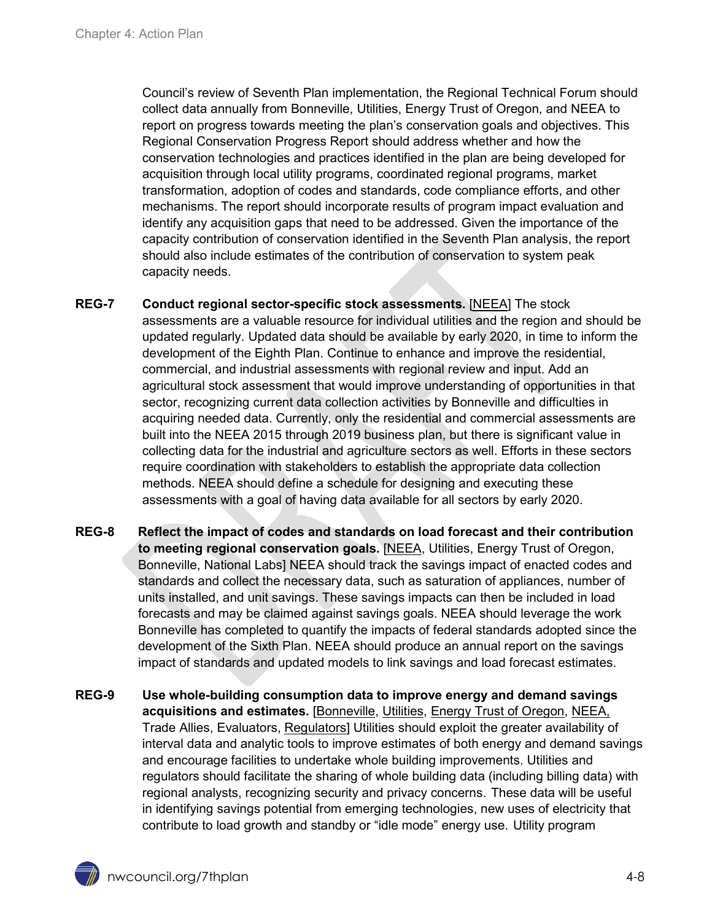Council's review of Seventh Plan implementation, the Regional Technical Forum should collect data annually from Bonneville, Utilities, Energy Trust of Oregon, and NEEA to report on progress towards meeting the plan's conservation goals and objectives. This Regional Conservation Progress Report should address whether and how the conservation technologies and practices identified in the plan are being developed for acquisition through local utility programs, coordinated regional programs, market transformation, adoption of codes and standards, code compliance efforts, and other mechanisms. The report should incorporate results of program impact evaluation and identify any acquisition gaps that need to be addressed. Given the importance of the capacity contribution of conservation identified in the Seventh Plan analysis, the report should also include estimates of the contribution of conservation to system peak capacity needs.

- <span id="page-7-0"></span>**REG-7 Conduct regional sector-specific stock assessments.** [NEEA] The stock assessments are a valuable resource for individual utilities and the region and should be updated regularly. Updated data should be available by early 2020, in time to inform the development of the Eighth Plan. Continue to enhance and improve the residential, commercial, and industrial assessments with regional review and input. Add an agricultural stock assessment that would improve understanding of opportunities in that sector, recognizing current data collection activities by Bonneville and difficulties in acquiring needed data. Currently, only the residential and commercial assessments are built into the NEEA 2015 through 2019 business plan, but there is significant value in collecting data for the industrial and agriculture sectors as well. Efforts in these sectors require coordination with stakeholders to establish the appropriate data collection methods. NEEA should define a schedule for designing and executing these assessments with a goal of having data available for all sectors by early 2020.
- <span id="page-7-1"></span>**REG-8 Reflect the impact of codes and standards on load forecast and their contribution to meeting regional conservation goals.** [NEEA, Utilities, Energy Trust of Oregon, Bonneville, National Labs] NEEA should track the savings impact of enacted codes and standards and collect the necessary data, such as saturation of appliances, number of units installed, and unit savings. These savings impacts can then be included in load forecasts and may be claimed against savings goals. NEEA should leverage the work Bonneville has completed to quantify the impacts of federal standards adopted since the development of the Sixth Plan. NEEA should produce an annual report on the savings impact of standards and updated models to link savings and load forecast estimates.
- **REG-9 Use whole-building consumption data to improve energy and demand savings acquisitions and estimates.** [Bonneville, Utilities, Energy Trust of Oregon, NEEA, Trade Allies, Evaluators, Regulators] Utilities should exploit the greater availability of interval data and analytic tools to improve estimates of both energy and demand savings and encourage facilities to undertake whole building improvements. Utilities and regulators should facilitate the sharing of whole building data (including billing data) with regional analysts, recognizing security and privacy concerns. These data will be useful in identifying savings potential from emerging technologies, new uses of electricity that contribute to load growth and standby or "idle mode" energy use. Utility program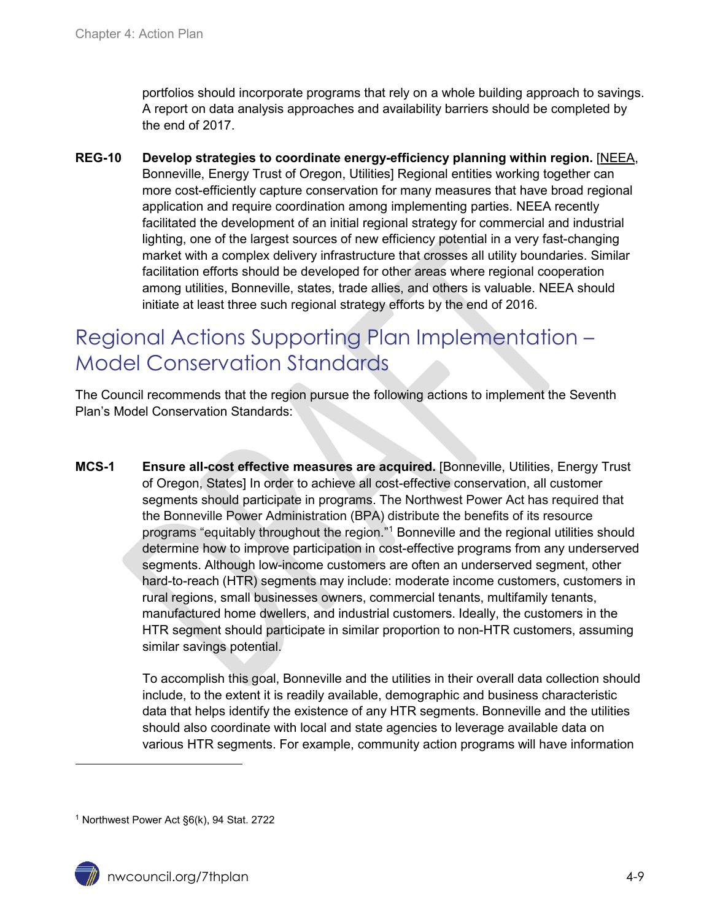portfolios should incorporate programs that rely on a whole building approach to savings. A report on data analysis approaches and availability barriers should be completed by the end of 2017.

<span id="page-8-1"></span>**REG-10 Develop strategies to coordinate energy-efficiency planning within region.** [NEEA, Bonneville, Energy Trust of Oregon, Utilities] Regional entities working together can more cost-efficiently capture conservation for many measures that have broad regional application and require coordination among implementing parties. NEEA recently facilitated the development of an initial regional strategy for commercial and industrial lighting, one of the largest sources of new efficiency potential in a very fast-changing market with a complex delivery infrastructure that crosses all utility boundaries. Similar facilitation efforts should be developed for other areas where regional cooperation among utilities, Bonneville, states, trade allies, and others is valuable. NEEA should initiate at least three such regional strategy efforts by the end of 2016.

## <span id="page-8-0"></span>Regional Actions Supporting Plan Implementation – Model Conservation Standards

The Council recommends that the region pursue the following actions to implement the Seventh Plan's Model Conservation Standards:

**MCS-1 Ensure all-cost effective measures are acquired.** [Bonneville, Utilities, Energy Trust of Oregon, States] In order to achieve all cost-effective conservation, all customer segments should participate in programs. The Northwest Power Act has required that the Bonneville Power Administration (BPA) distribute the benefits of its resource programs "equitably throughout the region.["1](#page-8-2) Bonneville and the regional utilities should determine how to improve participation in cost-effective programs from any underserved segments. Although low-income customers are often an underserved segment, other hard-to-reach (HTR) segments may include: moderate income customers, customers in rural regions, small businesses owners, commercial tenants, multifamily tenants, manufactured home dwellers, and industrial customers. Ideally, the customers in the HTR segment should participate in similar proportion to non-HTR customers, assuming similar savings potential.

> To accomplish this goal, Bonneville and the utilities in their overall data collection should include, to the extent it is readily available, demographic and business characteristic data that helps identify the existence of any HTR segments. Bonneville and the utilities should also coordinate with local and state agencies to leverage available data on various HTR segments. For example, community action programs will have information

 $\ddot{\phantom{a}}$ 

<span id="page-8-2"></span><sup>1</sup> Northwest Power Act §6(k), 94 Stat. 2722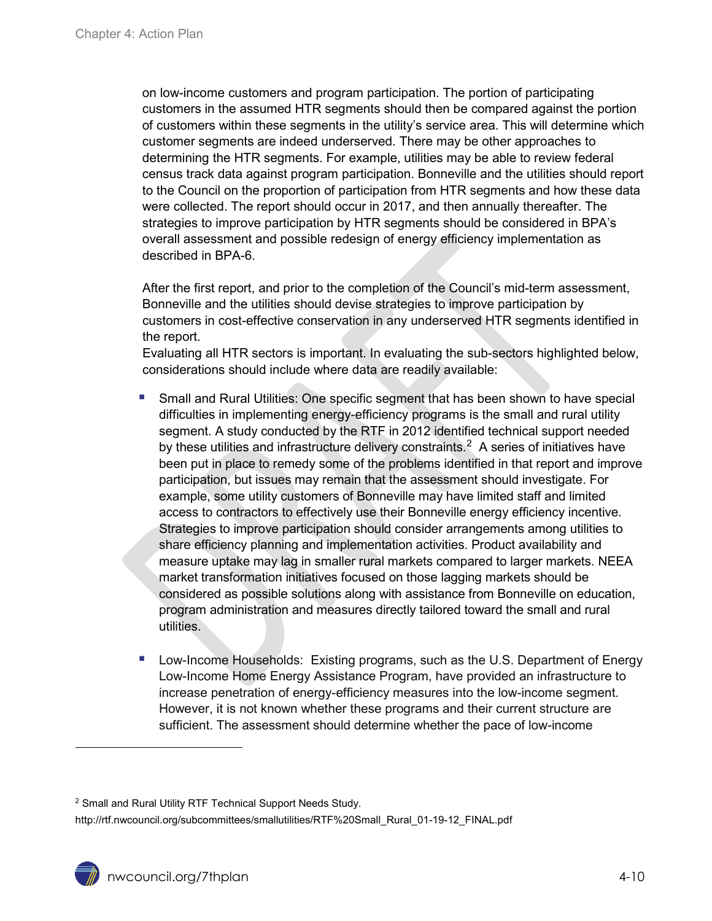on low-income customers and program participation. The portion of participating customers in the assumed HTR segments should then be compared against the portion of customers within these segments in the utility's service area. This will determine which customer segments are indeed underserved. There may be other approaches to determining the HTR segments. For example, utilities may be able to review federal census track data against program participation. Bonneville and the utilities should report to the Council on the proportion of participation from HTR segments and how these data were collected. The report should occur in 2017, and then annually thereafter. The strategies to improve participation by HTR segments should be considered in BPA's overall assessment and possible redesign of energy efficiency implementation as described in BPA-6.

After the first report, and prior to the completion of the Council's mid-term assessment, Bonneville and the utilities should devise strategies to improve participation by customers in cost-effective conservation in any underserved HTR segments identified in the report.

Evaluating all HTR sectors is important. In evaluating the sub-sectors highlighted below, considerations should include where data are readily available:

- Small and Rural Utilities: One specific segment that has been shown to have special difficulties in implementing energy-efficiency programs is the small and rural utility segment. A study conducted by the RTF in 2012 identified technical support needed by these utilities and infrastructure delivery constraints.<sup>[2](#page-9-0)</sup> A series of initiatives have been put in place to remedy some of the problems identified in that report and improve participation, but issues may remain that the assessment should investigate. For example, some utility customers of Bonneville may have limited staff and limited access to contractors to effectively use their Bonneville energy efficiency incentive. Strategies to improve participation should consider arrangements among utilities to share efficiency planning and implementation activities. Product availability and measure uptake may lag in smaller rural markets compared to larger markets. NEEA market transformation initiatives focused on those lagging markets should be considered as possible solutions along with assistance from Bonneville on education, program administration and measures directly tailored toward the small and rural utilities.
- Low-Income Households: Existing programs, such as the U.S. Department of Energy Low-Income Home Energy Assistance Program, have provided an infrastructure to increase penetration of energy-efficiency measures into the low-income segment. However, it is not known whether these programs and their current structure are sufficient. The assessment should determine whether the pace of low-income

 $\overline{a}$ 

<span id="page-9-0"></span><sup>2</sup> Small and Rural Utility RTF Technical Support Needs Study.

http://rtf.nwcouncil.org/subcommittees/smallutilities/RTF%20Small\_Rural\_01-19-12\_FINAL.pdf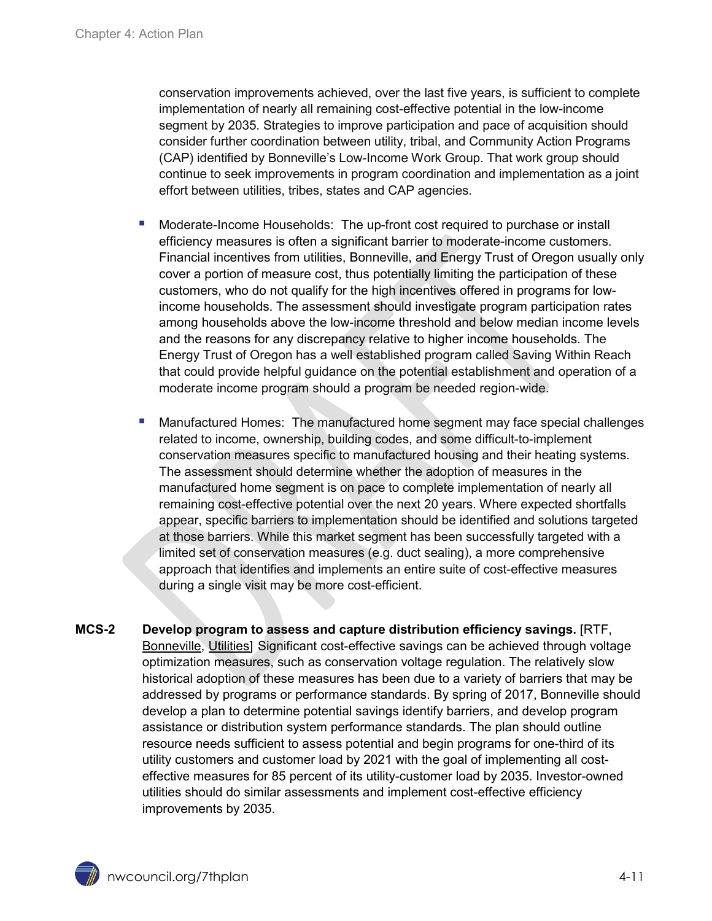conservation improvements achieved, over the last five years, is sufficient to complete implementation of nearly all remaining cost-effective potential in the low-income segment by 2035. Strategies to improve participation and pace of acquisition should consider further coordination between utility, tribal, and Community Action Programs (CAP) identified by Bonneville's Low-Income Work Group. That work group should continue to seek improvements in program coordination and implementation as a joint effort between utilities, tribes, states and CAP agencies.

- Moderate-Income Households: The up-front cost required to purchase or install efficiency measures is often a significant barrier to moderate-income customers. Financial incentives from utilities, Bonneville, and Energy Trust of Oregon usually only cover a portion of measure cost, thus potentially limiting the participation of these customers, who do not qualify for the high incentives offered in programs for lowincome households. The assessment should investigate program participation rates among households above the low-income threshold and below median income levels and the reasons for any discrepancy relative to higher income households. The Energy Trust of Oregon has a well established program called Saving Within Reach that could provide helpful guidance on the potential establishment and operation of a moderate income program should a program be needed region-wide.
- Manufactured Homes: The manufactured home segment may face special challenges related to income, ownership, building codes, and some difficult-to-implement conservation measures specific to manufactured housing and their heating systems. The assessment should determine whether the adoption of measures in the manufactured home segment is on pace to complete implementation of nearly all remaining cost-effective potential over the next 20 years. Where expected shortfalls appear, specific barriers to implementation should be identified and solutions targeted at those barriers. While this market segment has been successfully targeted with a limited set of conservation measures (e.g. duct sealing), a more comprehensive approach that identifies and implements an entire suite of cost-effective measures during a single visit may be more cost-efficient.
- **MCS-2 Develop program to assess and capture distribution efficiency savings.** [RTF, Bonneville, Utilities] Significant cost-effective savings can be achieved through voltage optimization measures, such as conservation voltage regulation. The relatively slow historical adoption of these measures has been due to a variety of barriers that may be addressed by programs or performance standards. By spring of 2017, Bonneville should develop a plan to determine potential savings identify barriers, and develop program assistance or distribution system performance standards. The plan should outline resource needs sufficient to assess potential and begin programs for one-third of its utility customers and customer load by 2021 with the goal of implementing all costeffective measures for 85 percent of its utility-customer load by 2035. Investor-owned utilities should do similar assessments and implement cost-effective efficiency improvements by 2035.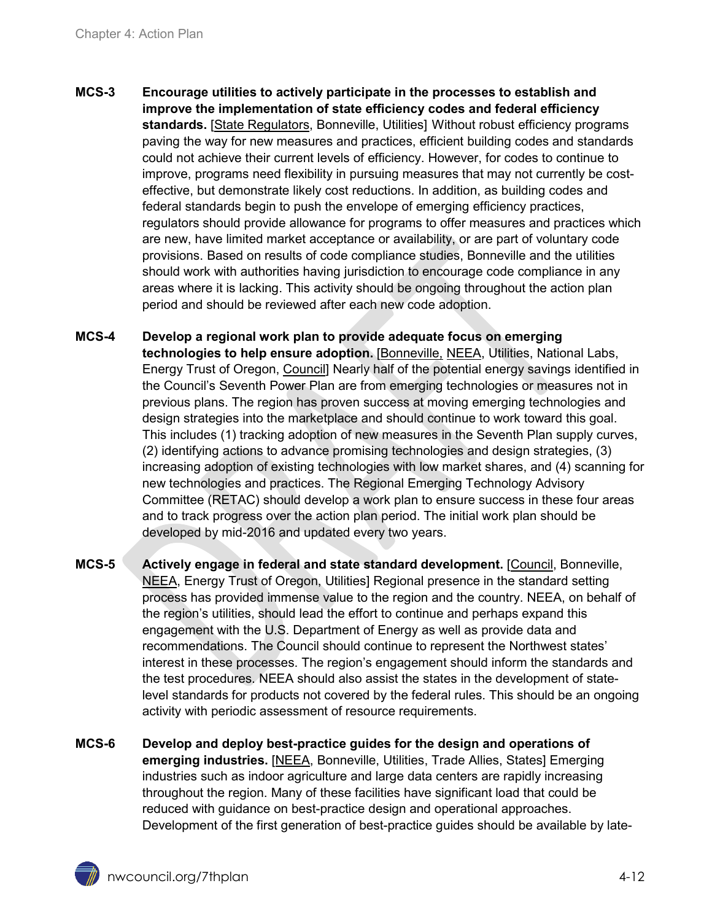- **MCS-3 Encourage utilities to actively participate in the processes to establish and improve the implementation of state efficiency codes and federal efficiency standards.** [State Regulators, Bonneville, Utilities] Without robust efficiency programs paving the way for new measures and practices, efficient building codes and standards could not achieve their current levels of efficiency. However, for codes to continue to improve, programs need flexibility in pursuing measures that may not currently be costeffective, but demonstrate likely cost reductions. In addition, as building codes and federal standards begin to push the envelope of emerging efficiency practices, regulators should provide allowance for programs to offer measures and practices which are new, have limited market acceptance or availability, or are part of voluntary code provisions. Based on results of code compliance studies, Bonneville and the utilities should work with authorities having jurisdiction to encourage code compliance in any areas where it is lacking. This activity should be ongoing throughout the action plan period and should be reviewed after each new code adoption.
- <span id="page-11-0"></span>**MCS-4 Develop a regional work plan to provide adequate focus on emerging technologies to help ensure adoption.** [Bonneville, NEEA, Utilities, National Labs, Energy Trust of Oregon, Council] Nearly half of the potential energy savings identified in the Council's Seventh Power Plan are from emerging technologies or measures not in previous plans. The region has proven success at moving emerging technologies and design strategies into the marketplace and should continue to work toward this goal. This includes (1) tracking adoption of new measures in the Seventh Plan supply curves, (2) identifying actions to advance promising technologies and design strategies, (3) increasing adoption of existing technologies with low market shares, and (4) scanning for new technologies and practices. The Regional Emerging Technology Advisory Committee (RETAC) should develop a work plan to ensure success in these four areas and to track progress over the action plan period. The initial work plan should be developed by mid-2016 and updated every two years.
- **MCS-5 Actively engage in federal and state standard development.** [Council, Bonneville, NEEA, Energy Trust of Oregon, Utilities] Regional presence in the standard setting process has provided immense value to the region and the country. NEEA, on behalf of the region's utilities, should lead the effort to continue and perhaps expand this engagement with the U.S. Department of Energy as well as provide data and recommendations. The Council should continue to represent the Northwest states' interest in these processes. The region's engagement should inform the standards and the test procedures. NEEA should also assist the states in the development of statelevel standards for products not covered by the federal rules. This should be an ongoing activity with periodic assessment of resource requirements.
- <span id="page-11-1"></span>**MCS-6 Develop and deploy best-practice guides for the design and operations of emerging industries.** [NEEA, Bonneville, Utilities, Trade Allies, States] Emerging industries such as indoor agriculture and large data centers are rapidly increasing throughout the region. Many of these facilities have significant load that could be reduced with guidance on best-practice design and operational approaches. Development of the first generation of best-practice guides should be available by late-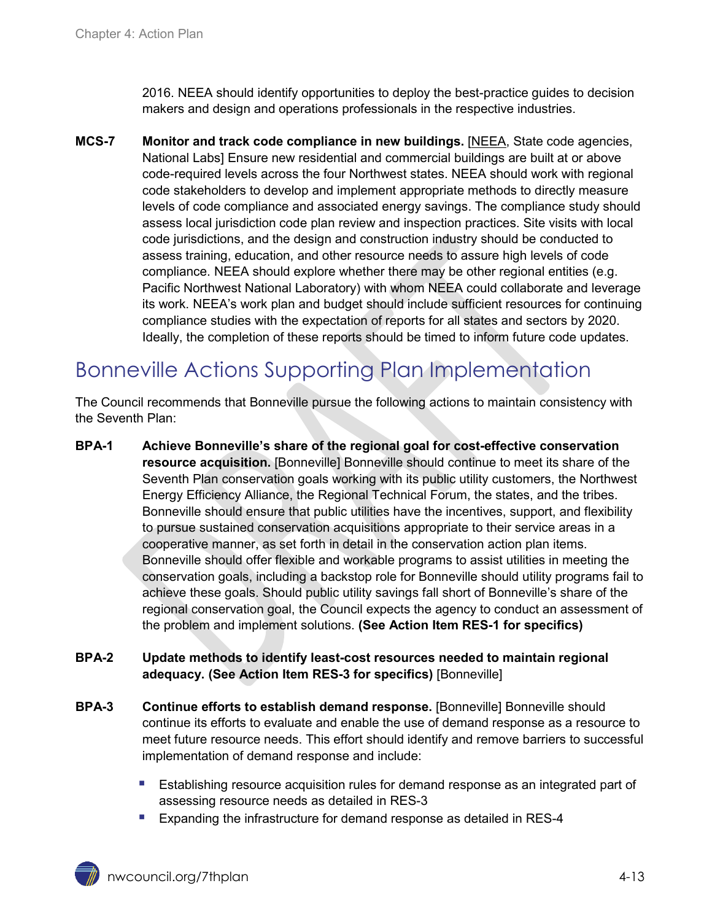2016. NEEA should identify opportunities to deploy the best-practice guides to decision makers and design and operations professionals in the respective industries.

<span id="page-12-1"></span>**MCS-7 Monitor and track code compliance in new buildings.** [NEEA, State code agencies, National Labs] Ensure new residential and commercial buildings are built at or above code-required levels across the four Northwest states. NEEA should work with regional code stakeholders to develop and implement appropriate methods to directly measure levels of code compliance and associated energy savings. The compliance study should assess local jurisdiction code plan review and inspection practices. Site visits with local code jurisdictions, and the design and construction industry should be conducted to assess training, education, and other resource needs to assure high levels of code compliance. NEEA should explore whether there may be other regional entities (e.g. Pacific Northwest National Laboratory) with whom NEEA could collaborate and leverage its work. NEEA's work plan and budget should include sufficient resources for continuing compliance studies with the expectation of reports for all states and sectors by 2020. Ideally, the completion of these reports should be timed to inform future code updates.

# <span id="page-12-0"></span>Bonneville Actions Supporting Plan Implementation

The Council recommends that Bonneville pursue the following actions to maintain consistency with the Seventh Plan:

**BPA-1 Achieve Bonneville's share of the regional goal for cost-effective conservation resource acquisition.** [Bonneville] Bonneville should continue to meet its share of the Seventh Plan conservation goals working with its public utility customers, the Northwest Energy Efficiency Alliance, the Regional Technical Forum, the states, and the tribes. Bonneville should ensure that public utilities have the incentives, support, and flexibility to pursue sustained conservation acquisitions appropriate to their service areas in a cooperative manner, as set forth in detail in the conservation action plan items. Bonneville should offer flexible and workable programs to assist utilities in meeting the conservation goals, including a backstop role for Bonneville should utility programs fail to achieve these goals. Should public utility savings fall short of Bonneville's share of the regional conservation goal, the Council expects the agency to conduct an assessment of the problem and implement solutions. **(See Action Item RES-1 for specifics)**

#### **BPA-2 Update methods to identify least-cost resources needed to maintain regional adequacy. (See Action Item RES-3 for specifics)** [Bonneville]

- **BPA-3 Continue efforts to establish demand response.** [Bonneville] Bonneville should continue its efforts to evaluate and enable the use of demand response as a resource to meet future resource needs. This effort should identify and remove barriers to successful implementation of demand response and include:
	- Establishing resource acquisition rules for demand response as an integrated part of assessing resource needs as detailed in RES-3
	- **Expanding the infrastructure for demand response as detailed in RES-4**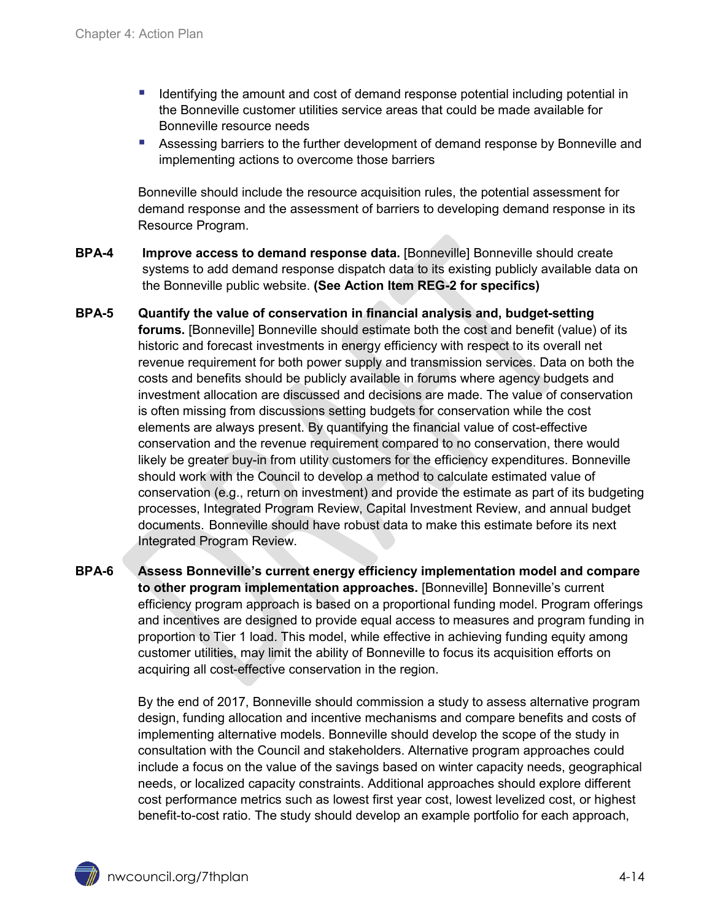- Identifying the amount and cost of demand response potential including potential in the Bonneville customer utilities service areas that could be made available for Bonneville resource needs
- Assessing barriers to the further development of demand response by Bonneville and implementing actions to overcome those barriers

Bonneville should include the resource acquisition rules, the potential assessment for demand response and the assessment of barriers to developing demand response in its Resource Program.

- **BPA-4 Improve access to demand response data.** [Bonneville] Bonneville should create systems to add demand response dispatch data to its existing publicly available data on the Bonneville public website. **(See Action Item REG-2 for specifics)**
- **BPA-5 Quantify the value of conservation in financial analysis and, budget-setting forums.** [Bonneville] Bonneville should estimate both the cost and benefit (value) of its historic and forecast investments in energy efficiency with respect to its overall net revenue requirement for both power supply and transmission services. Data on both the costs and benefits should be publicly available in forums where agency budgets and investment allocation are discussed and decisions are made. The value of conservation is often missing from discussions setting budgets for conservation while the cost elements are always present. By quantifying the financial value of cost-effective conservation and the revenue requirement compared to no conservation, there would likely be greater buy-in from utility customers for the efficiency expenditures. Bonneville should work with the Council to develop a method to calculate estimated value of conservation (e.g., return on investment) and provide the estimate as part of its budgeting processes, Integrated Program Review, Capital Investment Review, and annual budget documents. Bonneville should have robust data to make this estimate before its next Integrated Program Review.
- **BPA-6 Assess Bonneville's current energy efficiency implementation model and compare to other program implementation approaches.** [Bonneville] Bonneville's current efficiency program approach is based on a proportional funding model. Program offerings and incentives are designed to provide equal access to measures and program funding in proportion to Tier 1 load. This model, while effective in achieving funding equity among customer utilities, may limit the ability of Bonneville to focus its acquisition efforts on acquiring all cost-effective conservation in the region.

By the end of 2017, Bonneville should commission a study to assess alternative program design, funding allocation and incentive mechanisms and compare benefits and costs of implementing alternative models. Bonneville should develop the scope of the study in consultation with the Council and stakeholders. Alternative program approaches could include a focus on the value of the savings based on winter capacity needs, geographical needs, or localized capacity constraints. Additional approaches should explore different cost performance metrics such as lowest first year cost, lowest levelized cost, or highest benefit-to-cost ratio. The study should develop an example portfolio for each approach,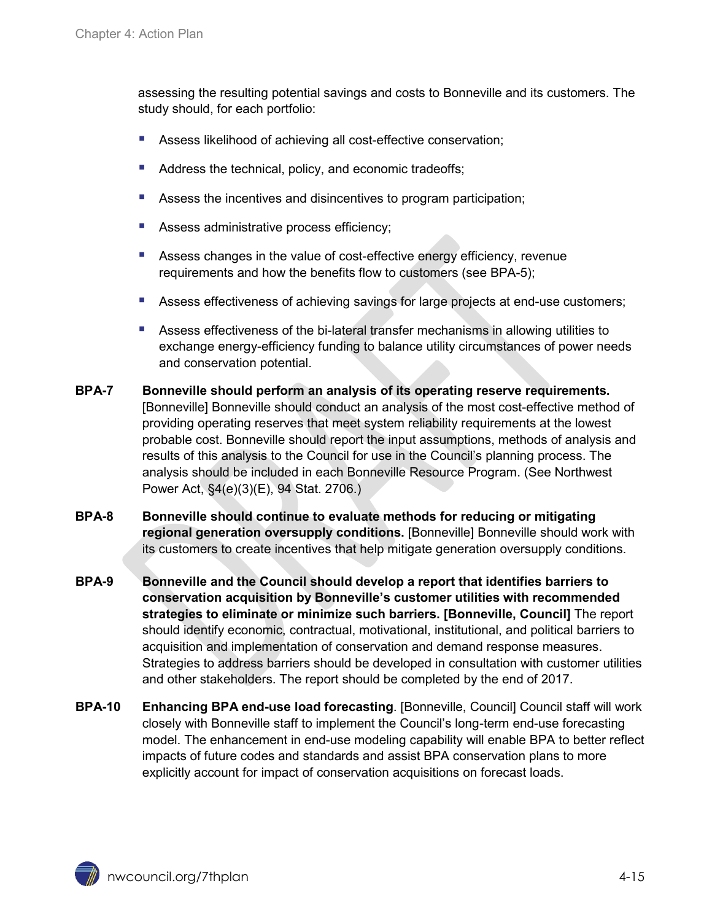assessing the resulting potential savings and costs to Bonneville and its customers. The study should, for each portfolio:

- Assess likelihood of achieving all cost-effective conservation;
- Address the technical, policy, and economic tradeoffs;
- Assess the incentives and disincentives to program participation;
- Assess administrative process efficiency;
- Assess changes in the value of cost-effective energy efficiency, revenue requirements and how the benefits flow to customers (see BPA-5);
- Assess effectiveness of achieving savings for large projects at end-use customers;
- Assess effectiveness of the bi-lateral transfer mechanisms in allowing utilities to exchange energy-efficiency funding to balance utility circumstances of power needs and conservation potential.
- **BPA-7 Bonneville should perform an analysis of its operating reserve requirements.** [Bonneville] Bonneville should conduct an analysis of the most cost-effective method of providing operating reserves that meet system reliability requirements at the lowest probable cost. Bonneville should report the input assumptions, methods of analysis and results of this analysis to the Council for use in the Council's planning process. The analysis should be included in each Bonneville Resource Program. (See Northwest Power Act, §4(e)(3)(E), 94 Stat. 2706.)
- **BPA-8 Bonneville should continue to evaluate methods for reducing or mitigating regional generation oversupply conditions.** [Bonneville] Bonneville should work with its customers to create incentives that help mitigate generation oversupply conditions.
- **BPA-9 Bonneville and the Council should develop a report that identifies barriers to conservation acquisition by Bonneville's customer utilities with recommended strategies to eliminate or minimize such barriers. [Bonneville, Council]** The report should identify economic, contractual, motivational, institutional, and political barriers to acquisition and implementation of conservation and demand response measures. Strategies to address barriers should be developed in consultation with customer utilities and other stakeholders. The report should be completed by the end of 2017.
- **BPA-10 Enhancing BPA end-use load forecasting**. [Bonneville, Council] Council staff will work closely with Bonneville staff to implement the Council's long-term end-use forecasting model. The enhancement in end-use modeling capability will enable BPA to better reflect impacts of future codes and standards and assist BPA conservation plans to more explicitly account for impact of conservation acquisitions on forecast loads.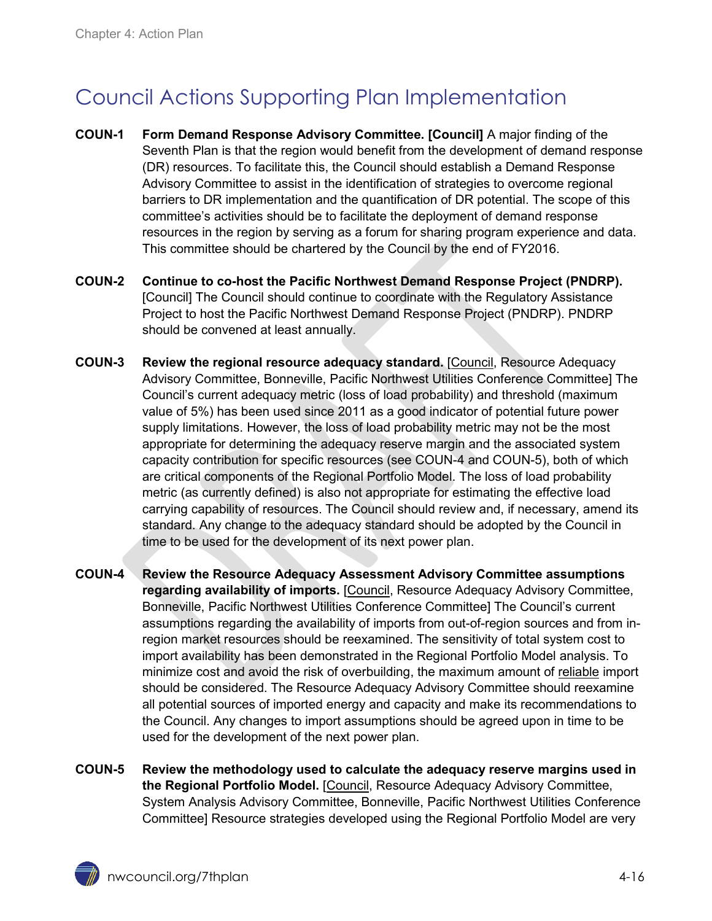# <span id="page-15-0"></span>Council Actions Supporting Plan Implementation

- **COUN-1 Form Demand Response Advisory Committee. [Council]** A major finding of the Seventh Plan is that the region would benefit from the development of demand response (DR) resources. To facilitate this, the Council should establish a Demand Response Advisory Committee to assist in the identification of strategies to overcome regional barriers to DR implementation and the quantification of DR potential. The scope of this committee's activities should be to facilitate the deployment of demand response resources in the region by serving as a forum for sharing program experience and data. This committee should be chartered by the Council by the end of FY2016.
- **COUN-2 Continue to co-host the Pacific Northwest Demand Response Project (PNDRP).** [Council] The Council should continue to coordinate with the Regulatory Assistance Project to host the Pacific Northwest Demand Response Project (PNDRP). PNDRP should be convened at least annually.
- **COUN-3 Review the regional resource adequacy standard.** [Council, Resource Adequacy Advisory Committee, Bonneville, Pacific Northwest Utilities Conference Committee] The Council's current adequacy metric (loss of load probability) and threshold (maximum value of 5%) has been used since 2011 as a good indicator of potential future power supply limitations. However, the loss of load probability metric may not be the most appropriate for determining the adequacy reserve margin and the associated system capacity contribution for specific resources (see COUN-4 and COUN-5), both of which are critical components of the Regional Portfolio Model. The loss of load probability metric (as currently defined) is also not appropriate for estimating the effective load carrying capability of resources. The Council should review and, if necessary, amend its standard. Any change to the adequacy standard should be adopted by the Council in time to be used for the development of its next power plan.
- **COUN-4 Review the Resource Adequacy Assessment Advisory Committee assumptions regarding availability of imports.** [Council, Resource Adequacy Advisory Committee, Bonneville, Pacific Northwest Utilities Conference Committee] The Council's current assumptions regarding the availability of imports from out-of-region sources and from inregion market resources should be reexamined. The sensitivity of total system cost to import availability has been demonstrated in the Regional Portfolio Model analysis. To minimize cost and avoid the risk of overbuilding, the maximum amount of reliable import should be considered. The Resource Adequacy Advisory Committee should reexamine all potential sources of imported energy and capacity and make its recommendations to the Council. Any changes to import assumptions should be agreed upon in time to be used for the development of the next power plan.
- **COUN-5 Review the methodology used to calculate the adequacy reserve margins used in the Regional Portfolio Model.** [Council, Resource Adequacy Advisory Committee, System Analysis Advisory Committee, Bonneville, Pacific Northwest Utilities Conference Committee] Resource strategies developed using the Regional Portfolio Model are very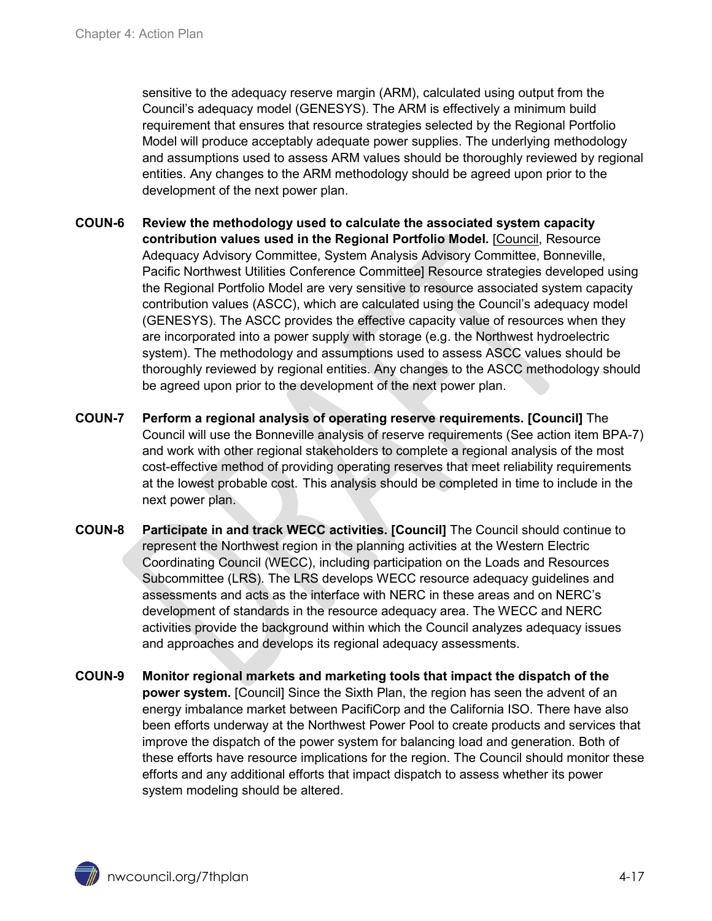sensitive to the adequacy reserve margin (ARM), calculated using output from the Council's adequacy model (GENESYS). The ARM is effectively a minimum build requirement that ensures that resource strategies selected by the Regional Portfolio Model will produce acceptably adequate power supplies. The underlying methodology and assumptions used to assess ARM values should be thoroughly reviewed by regional entities. Any changes to the ARM methodology should be agreed upon prior to the development of the next power plan.

- **COUN-6 Review the methodology used to calculate the associated system capacity contribution values used in the Regional Portfolio Model.** [Council, Resource Adequacy Advisory Committee, System Analysis Advisory Committee, Bonneville, Pacific Northwest Utilities Conference Committee] Resource strategies developed using the Regional Portfolio Model are very sensitive to resource associated system capacity contribution values (ASCC), which are calculated using the Council's adequacy model (GENESYS). The ASCC provides the effective capacity value of resources when they are incorporated into a power supply with storage (e.g. the Northwest hydroelectric system). The methodology and assumptions used to assess ASCC values should be thoroughly reviewed by regional entities. Any changes to the ASCC methodology should be agreed upon prior to the development of the next power plan.
- **COUN-7 Perform a regional analysis of operating reserve requirements. [Council]** The Council will use the Bonneville analysis of reserve requirements (See action item BPA-7) and work with other regional stakeholders to complete a regional analysis of the most cost-effective method of providing operating reserves that meet reliability requirements at the lowest probable cost. This analysis should be completed in time to include in the next power plan.
- **COUN-8 Participate in and track WECC activities. [Council]** The Council should continue to represent the Northwest region in the planning activities at the Western Electric Coordinating Council (WECC), including participation on the Loads and Resources Subcommittee (LRS). The LRS develops WECC resource adequacy guidelines and assessments and acts as the interface with NERC in these areas and on NERC's development of standards in the resource adequacy area. The WECC and NERC activities provide the background within which the Council analyzes adequacy issues and approaches and develops its regional adequacy assessments.
- **COUN-9 Monitor regional markets and marketing tools that impact the dispatch of the power system.** [Council] Since the Sixth Plan, the region has seen the advent of an energy imbalance market between PacifiCorp and the California ISO. There have also been efforts underway at the Northwest Power Pool to create products and services that improve the dispatch of the power system for balancing load and generation. Both of these efforts have resource implications for the region. The Council should monitor these efforts and any additional efforts that impact dispatch to assess whether its power system modeling should be altered.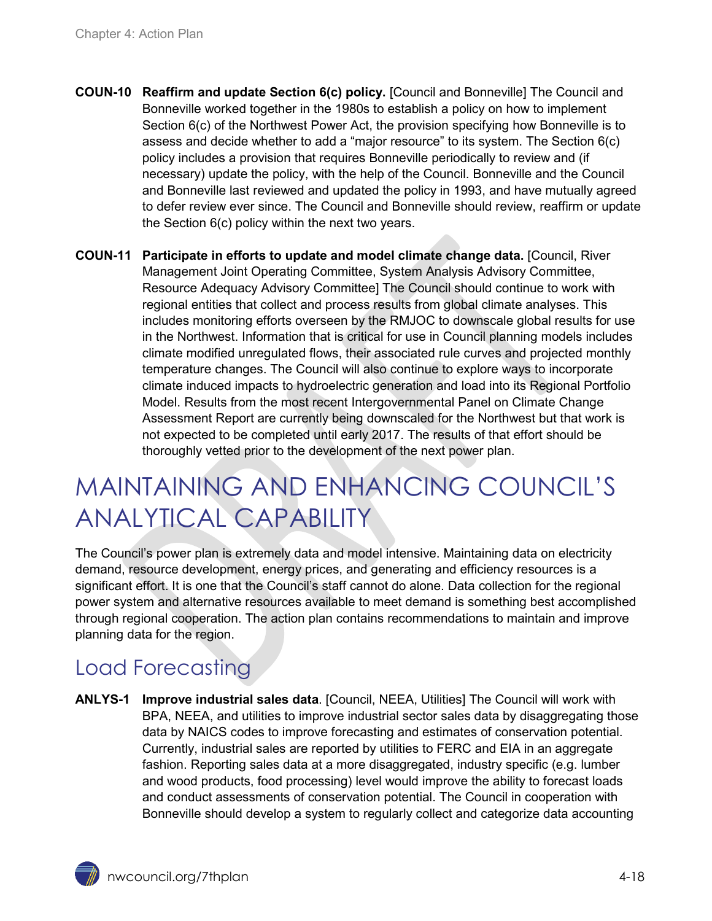- **COUN-10 Reaffirm and update Section 6(c) policy.** [Council and Bonneville] The Council and Bonneville worked together in the 1980s to establish a policy on how to implement Section 6(c) of the Northwest Power Act, the provision specifying how Bonneville is to assess and decide whether to add a "major resource" to its system. The Section 6(c) policy includes a provision that requires Bonneville periodically to review and (if necessary) update the policy, with the help of the Council. Bonneville and the Council and Bonneville last reviewed and updated the policy in 1993, and have mutually agreed to defer review ever since. The Council and Bonneville should review, reaffirm or update the Section 6(c) policy within the next two years.
- **COUN-11 Participate in efforts to update and model climate change data.** [Council, River Management Joint Operating Committee, System Analysis Advisory Committee, Resource Adequacy Advisory Committee] The Council should continue to work with regional entities that collect and process results from global climate analyses. This includes monitoring efforts overseen by the RMJOC to downscale global results for use in the Northwest. Information that is critical for use in Council planning models includes climate modified unregulated flows, their associated rule curves and projected monthly temperature changes. The Council will also continue to explore ways to incorporate climate induced impacts to hydroelectric generation and load into its Regional Portfolio Model. Results from the most recent Intergovernmental Panel on Climate Change Assessment Report are currently being downscaled for the Northwest but that work is not expected to be completed until early 2017. The results of that effort should be thoroughly vetted prior to the development of the next power plan.

# <span id="page-17-0"></span>MAINTAINING AND ENHANCING COUNCIL'S ANALYTICAL CAPABILITY

The Council's power plan is extremely data and model intensive. Maintaining data on electricity demand, resource development, energy prices, and generating and efficiency resources is a significant effort. It is one that the Council's staff cannot do alone. Data collection for the regional power system and alternative resources available to meet demand is something best accomplished through regional cooperation. The action plan contains recommendations to maintain and improve planning data for the region.

## <span id="page-17-1"></span>Load Forecasting

**ANLYS-1 Improve industrial sales data**. [Council, NEEA, Utilities] The Council will work with BPA, NEEA, and utilities to improve industrial sector sales data by disaggregating those data by NAICS codes to improve forecasting and estimates of conservation potential. Currently, industrial sales are reported by utilities to FERC and EIA in an aggregate fashion. Reporting sales data at a more disaggregated, industry specific (e.g. lumber and wood products, food processing) level would improve the ability to forecast loads and conduct assessments of conservation potential. The Council in cooperation with Bonneville should develop a system to regularly collect and categorize data accounting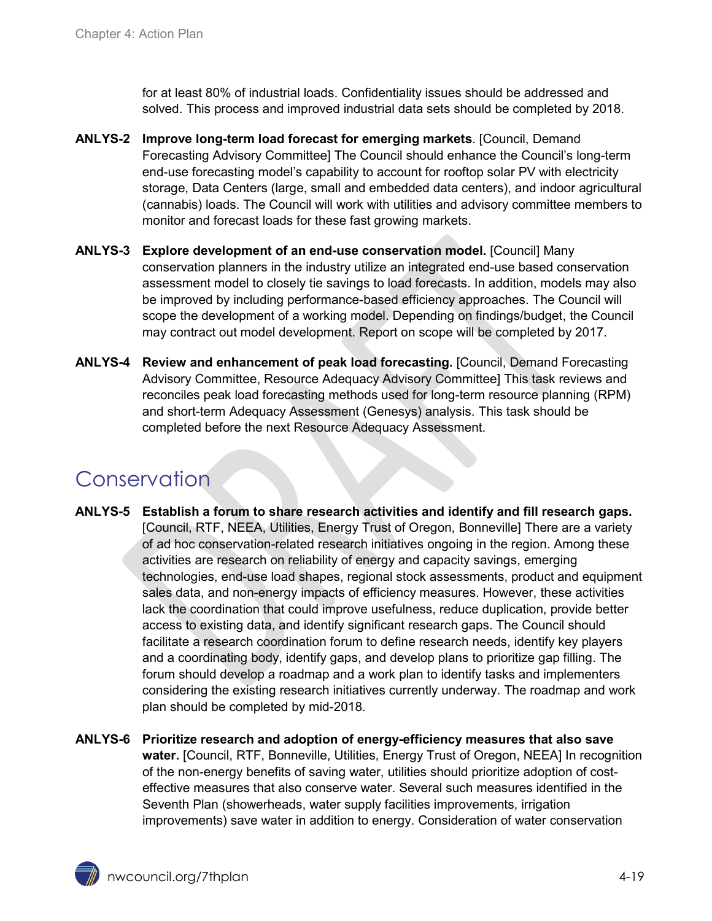for at least 80% of industrial loads. Confidentiality issues should be addressed and solved. This process and improved industrial data sets should be completed by 2018.

- **ANLYS-2 Improve long-term load forecast for emerging markets**. [Council, Demand Forecasting Advisory Committee] The Council should enhance the Council's long-term end-use forecasting model's capability to account for rooftop solar PV with electricity storage, Data Centers (large, small and embedded data centers), and indoor agricultural (cannabis) loads. The Council will work with utilities and advisory committee members to monitor and forecast loads for these fast growing markets.
- **ANLYS-3 Explore development of an end-use conservation model.** [Council] Many conservation planners in the industry utilize an integrated end-use based conservation assessment model to closely tie savings to load forecasts. In addition, models may also be improved by including performance-based efficiency approaches. The Council will scope the development of a working model. Depending on findings/budget, the Council may contract out model development. Report on scope will be completed by 2017.
- **ANLYS-4 Review and enhancement of peak load forecasting.** [Council, Demand Forecasting Advisory Committee, Resource Adequacy Advisory Committee] This task reviews and reconciles peak load forecasting methods used for long-term resource planning (RPM) and short-term Adequacy Assessment (Genesys) analysis. This task should be completed before the next Resource Adequacy Assessment.

## <span id="page-18-0"></span>Conservation

**ANLYS-5 Establish a forum to share research activities and identify and fill research gaps.** [Council, RTF, NEEA, Utilities, Energy Trust of Oregon, Bonneville] There are a variety of ad hoc conservation-related research initiatives ongoing in the region. Among these activities are research on reliability of energy and capacity savings, emerging technologies, end-use load shapes, regional stock assessments, product and equipment sales data, and non-energy impacts of efficiency measures. However, these activities lack the coordination that could improve usefulness, reduce duplication, provide better access to existing data, and identify significant research gaps. The Council should facilitate a research coordination forum to define research needs, identify key players and a coordinating body, identify gaps, and develop plans to prioritize gap filling. The forum should develop a roadmap and a work plan to identify tasks and implementers considering the existing research initiatives currently underway. The roadmap and work plan should be completed by mid-2018.

<span id="page-18-1"></span>**ANLYS-6 Prioritize research and adoption of energy-efficiency measures that also save water.** [Council, RTF, Bonneville, Utilities, Energy Trust of Oregon, NEEA] In recognition of the non-energy benefits of saving water, utilities should prioritize adoption of costeffective measures that also conserve water. Several such measures identified in the Seventh Plan (showerheads, water supply facilities improvements, irrigation improvements) save water in addition to energy. Consideration of water conservation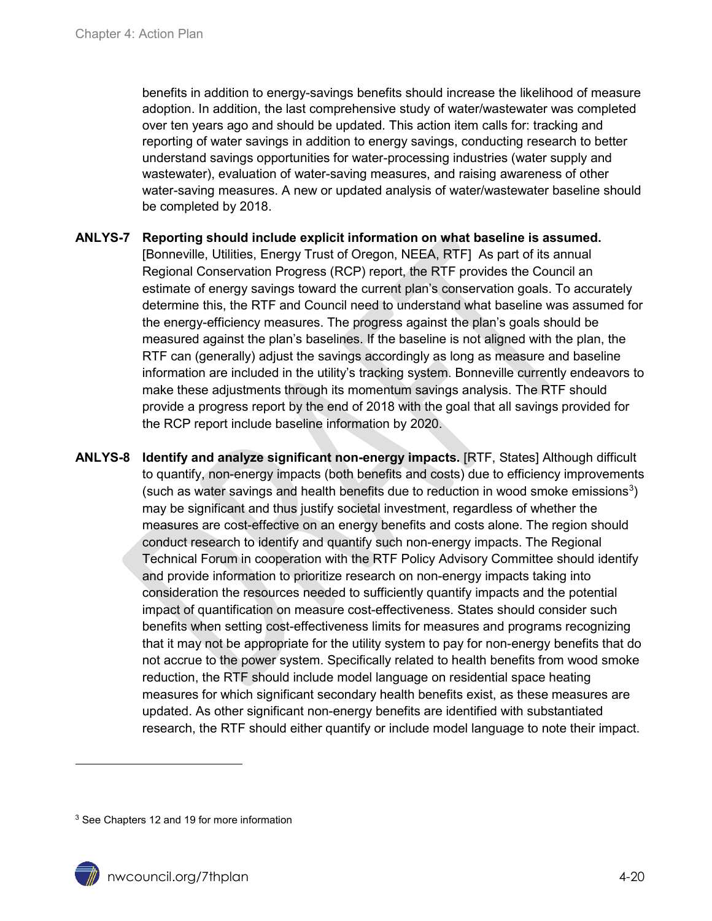benefits in addition to energy-savings benefits should increase the likelihood of measure adoption. In addition, the last comprehensive study of water/wastewater was completed over ten years ago and should be updated. This action item calls for: tracking and reporting of water savings in addition to energy savings, conducting research to better understand savings opportunities for water-processing industries (water supply and wastewater), evaluation of water-saving measures, and raising awareness of other water-saving measures. A new or updated analysis of water/wastewater baseline should be completed by 2018.

**ANLYS-7 Reporting should include explicit information on what baseline is assumed.**  [Bonneville, Utilities, Energy Trust of Oregon, NEEA, RTF] As part of its annual Regional Conservation Progress (RCP) report, the RTF provides the Council an estimate of energy savings toward the current plan's conservation goals. To accurately determine this, the RTF and Council need to understand what baseline was assumed for the energy-efficiency measures. The progress against the plan's goals should be measured against the plan's baselines. If the baseline is not aligned with the plan, the RTF can (generally) adjust the savings accordingly as long as measure and baseline information are included in the utility's tracking system. Bonneville currently endeavors to make these adjustments through its momentum savings analysis. The RTF should provide a progress report by the end of 2018 with the goal that all savings provided for the RCP report include baseline information by 2020.

**ANLYS-8 Identify and analyze significant non-energy impacts.** [RTF, States] Although difficult to quantify, non-energy impacts (both benefits and costs) due to efficiency improvements (such as water savings and health benefits due to reduction in wood smoke emissions<sup>[3](#page-19-0)</sup>) may be significant and thus justify societal investment, regardless of whether the measures are cost-effective on an energy benefits and costs alone. The region should conduct research to identify and quantify such non-energy impacts. The Regional Technical Forum in cooperation with the RTF Policy Advisory Committee should identify and provide information to prioritize research on non-energy impacts taking into consideration the resources needed to sufficiently quantify impacts and the potential impact of quantification on measure cost-effectiveness. States should consider such benefits when setting cost-effectiveness limits for measures and programs recognizing that it may not be appropriate for the utility system to pay for non-energy benefits that do not accrue to the power system. Specifically related to health benefits from wood smoke reduction, the RTF should include model language on residential space heating measures for which significant secondary health benefits exist, as these measures are updated. As other significant non-energy benefits are identified with substantiated research, the RTF should either quantify or include model language to note their impact.

<span id="page-19-0"></span><sup>3</sup> See Chapters 12 and 19 for more information

 $\ddot{\phantom{a}}$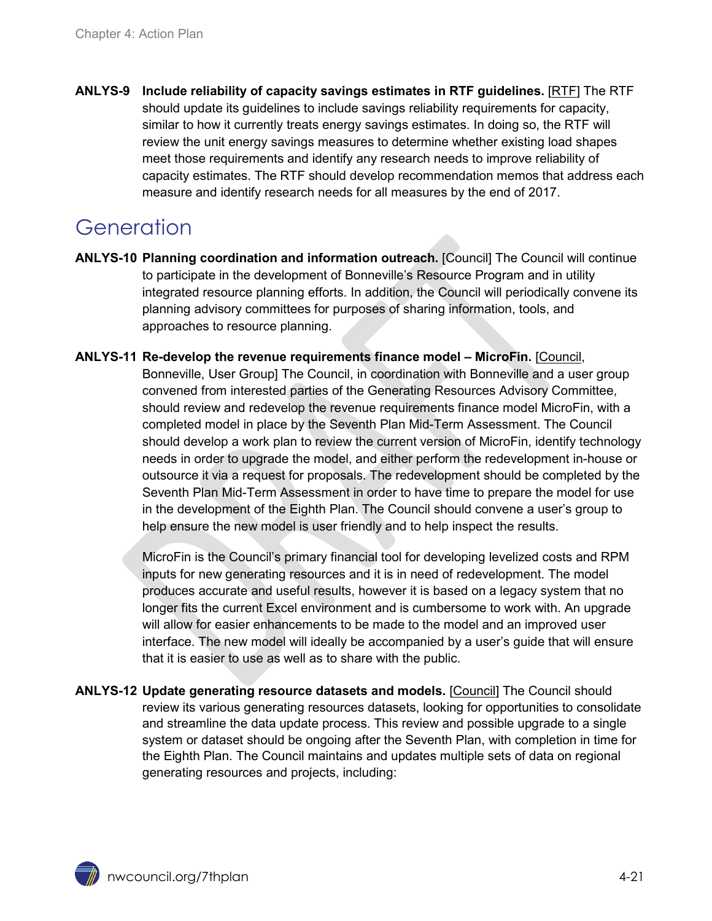**ANLYS-9 Include reliability of capacity savings estimates in RTF guidelines.** [RTF] The RTF should update its guidelines to include savings reliability requirements for capacity, similar to how it currently treats energy savings estimates. In doing so, the RTF will review the unit energy savings measures to determine whether existing load shapes meet those requirements and identify any research needs to improve reliability of capacity estimates. The RTF should develop recommendation memos that address each measure and identify research needs for all measures by the end of 2017.

## <span id="page-20-0"></span>**Generation**

- **ANLYS-10 Planning coordination and information outreach.** [Council] The Council will continue to participate in the development of Bonneville's Resource Program and in utility integrated resource planning efforts. In addition, the Council will periodically convene its planning advisory committees for purposes of sharing information, tools, and approaches to resource planning.
- **ANLYS-11 Re-develop the revenue requirements finance model – MicroFin.** [Council, Bonneville, User Group] The Council, in coordination with Bonneville and a user group convened from interested parties of the Generating Resources Advisory Committee, should review and redevelop the revenue requirements finance model MicroFin, with a completed model in place by the Seventh Plan Mid-Term Assessment. The Council should develop a work plan to review the current version of MicroFin, identify technology needs in order to upgrade the model, and either perform the redevelopment in-house or outsource it via a request for proposals. The redevelopment should be completed by the Seventh Plan Mid-Term Assessment in order to have time to prepare the model for use in the development of the Eighth Plan. The Council should convene a user's group to help ensure the new model is user friendly and to help inspect the results.

MicroFin is the Council's primary financial tool for developing levelized costs and RPM inputs for new generating resources and it is in need of redevelopment. The model produces accurate and useful results, however it is based on a legacy system that no longer fits the current Excel environment and is cumbersome to work with. An upgrade will allow for easier enhancements to be made to the model and an improved user interface. The new model will ideally be accompanied by a user's guide that will ensure that it is easier to use as well as to share with the public.

**ANLYS-12 Update generating resource datasets and models.** [Council] The Council should review its various generating resources datasets, looking for opportunities to consolidate and streamline the data update process. This review and possible upgrade to a single system or dataset should be ongoing after the Seventh Plan, with completion in time for the Eighth Plan. The Council maintains and updates multiple sets of data on regional generating resources and projects, including: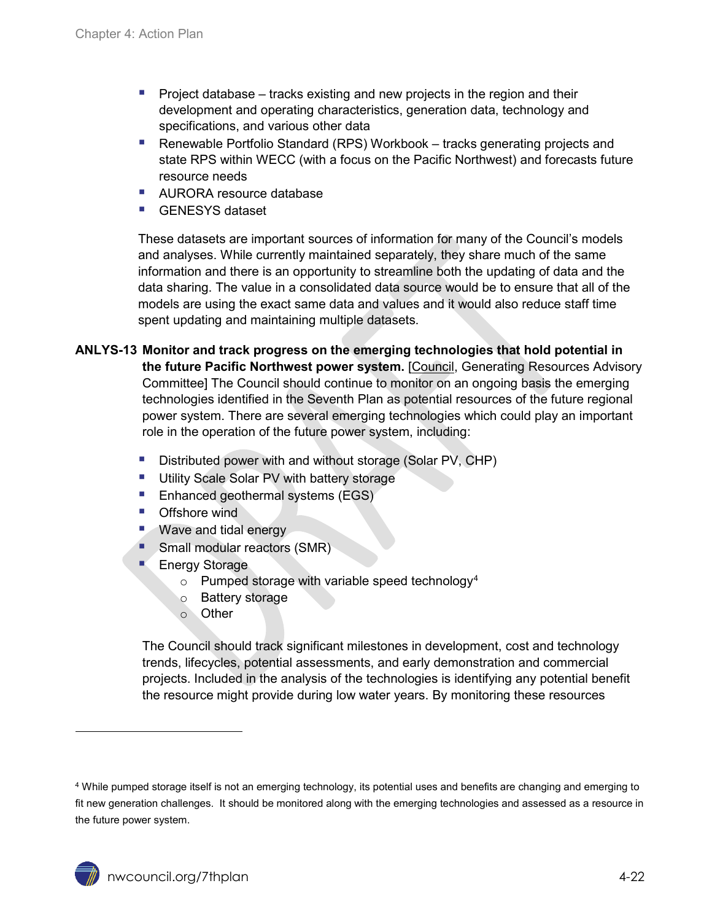- **Project database** tracks existing and new projects in the region and their development and operating characteristics, generation data, technology and specifications, and various other data
- Renewable Portfolio Standard (RPS) Workbook tracks generating projects and state RPS within WECC (with a focus on the Pacific Northwest) and forecasts future resource needs
- AURORA resource database
- GENESYS dataset

These datasets are important sources of information for many of the Council's models and analyses. While currently maintained separately, they share much of the same information and there is an opportunity to streamline both the updating of data and the data sharing. The value in a consolidated data source would be to ensure that all of the models are using the exact same data and values and it would also reduce staff time spent updating and maintaining multiple datasets.

#### **ANLYS-13 Monitor and track progress on the emerging technologies that hold potential in the future Pacific Northwest power system.** [Council, Generating Resources Advisory Committee] The Council should continue to monitor on an ongoing basis the emerging technologies identified in the Seventh Plan as potential resources of the future regional power system. There are several emerging technologies which could play an important role in the operation of the future power system, including:

- Distributed power with and without storage (Solar PV, CHP)
- **Utility Scale Solar PV with battery storage**
- Enhanced geothermal systems (EGS)
- **Offshore wind**
- **Wave and tidal energy**
- **Small modular reactors (SMR)**
- Energy Storage
	- $\circ$  Pumped storage with variable speed technology<sup>[4](#page-21-0)</sup>
	- o Battery storage
	- o Other

The Council should track significant milestones in development, cost and technology trends, lifecycles, potential assessments, and early demonstration and commercial projects. Included in the analysis of the technologies is identifying any potential benefit the resource might provide during low water years. By monitoring these resources

 $\overline{a}$ 

<span id="page-21-0"></span><sup>4</sup> While pumped storage itself is not an emerging technology, its potential uses and benefits are changing and emerging to fit new generation challenges. It should be monitored along with the emerging technologies and assessed as a resource in the future power system.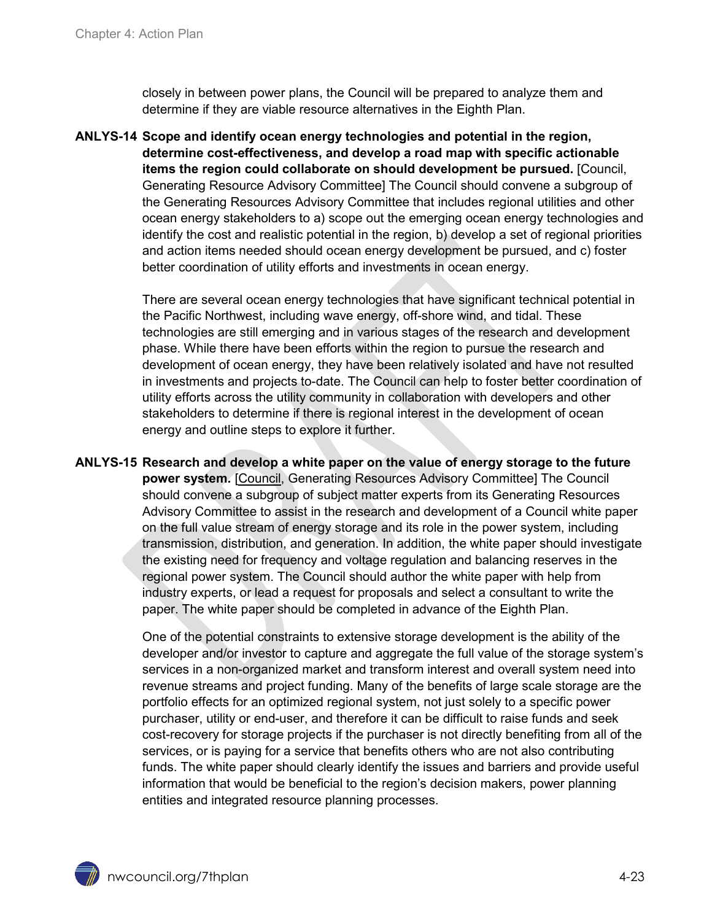closely in between power plans, the Council will be prepared to analyze them and determine if they are viable resource alternatives in the Eighth Plan.

**ANLYS-14 Scope and identify ocean energy technologies and potential in the region, determine cost-effectiveness, and develop a road map with specific actionable items the region could collaborate on should development be pursued.** [Council, Generating Resource Advisory Committee] The Council should convene a subgroup of the Generating Resources Advisory Committee that includes regional utilities and other ocean energy stakeholders to a) scope out the emerging ocean energy technologies and identify the cost and realistic potential in the region, b) develop a set of regional priorities and action items needed should ocean energy development be pursued, and c) foster better coordination of utility efforts and investments in ocean energy.

> There are several ocean energy technologies that have significant technical potential in the Pacific Northwest, including wave energy, off-shore wind, and tidal. These technologies are still emerging and in various stages of the research and development phase. While there have been efforts within the region to pursue the research and development of ocean energy, they have been relatively isolated and have not resulted in investments and projects to-date. The Council can help to foster better coordination of utility efforts across the utility community in collaboration with developers and other stakeholders to determine if there is regional interest in the development of ocean energy and outline steps to explore it further.

**ANLYS-15 Research and develop a white paper on the value of energy storage to the future power system.** [Council, Generating Resources Advisory Committee] The Council should convene a subgroup of subject matter experts from its Generating Resources Advisory Committee to assist in the research and development of a Council white paper on the full value stream of energy storage and its role in the power system, including transmission, distribution, and generation. In addition, the white paper should investigate the existing need for frequency and voltage regulation and balancing reserves in the regional power system. The Council should author the white paper with help from industry experts, or lead a request for proposals and select a consultant to write the paper. The white paper should be completed in advance of the Eighth Plan.

> One of the potential constraints to extensive storage development is the ability of the developer and/or investor to capture and aggregate the full value of the storage system's services in a non-organized market and transform interest and overall system need into revenue streams and project funding. Many of the benefits of large scale storage are the portfolio effects for an optimized regional system, not just solely to a specific power purchaser, utility or end-user, and therefore it can be difficult to raise funds and seek cost-recovery for storage projects if the purchaser is not directly benefiting from all of the services, or is paying for a service that benefits others who are not also contributing funds. The white paper should clearly identify the issues and barriers and provide useful information that would be beneficial to the region's decision makers, power planning entities and integrated resource planning processes.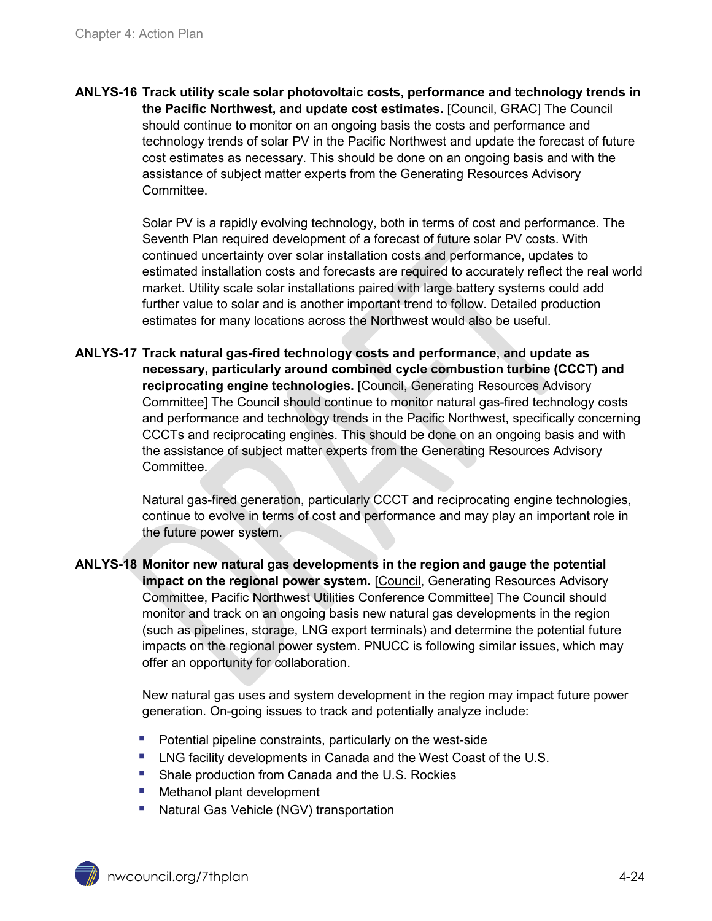**ANLYS-16 Track utility scale solar photovoltaic costs, performance and technology trends in the Pacific Northwest, and update cost estimates.** [Council, GRAC] The Council should continue to monitor on an ongoing basis the costs and performance and technology trends of solar PV in the Pacific Northwest and update the forecast of future cost estimates as necessary. This should be done on an ongoing basis and with the assistance of subject matter experts from the Generating Resources Advisory Committee.

> Solar PV is a rapidly evolving technology, both in terms of cost and performance. The Seventh Plan required development of a forecast of future solar PV costs. With continued uncertainty over solar installation costs and performance, updates to estimated installation costs and forecasts are required to accurately reflect the real world market. Utility scale solar installations paired with large battery systems could add further value to solar and is another important trend to follow. Detailed production estimates for many locations across the Northwest would also be useful.

**ANLYS-17 Track natural gas-fired technology costs and performance, and update as necessary, particularly around combined cycle combustion turbine (CCCT) and reciprocating engine technologies.** [Council, Generating Resources Advisory Committee] The Council should continue to monitor natural gas-fired technology costs and performance and technology trends in the Pacific Northwest, specifically concerning CCCTs and reciprocating engines. This should be done on an ongoing basis and with the assistance of subject matter experts from the Generating Resources Advisory Committee.

> Natural gas-fired generation, particularly CCCT and reciprocating engine technologies, continue to evolve in terms of cost and performance and may play an important role in the future power system.

**ANLYS-18 Monitor new natural gas developments in the region and gauge the potential impact on the regional power system.** [Council, Generating Resources Advisory Committee, Pacific Northwest Utilities Conference Committee] The Council should monitor and track on an ongoing basis new natural gas developments in the region (such as pipelines, storage, LNG export terminals) and determine the potential future impacts on the regional power system. PNUCC is following similar issues, which may offer an opportunity for collaboration.

> New natural gas uses and system development in the region may impact future power generation. On-going issues to track and potentially analyze include:

- **Potential pipeline constraints, particularly on the west-side**
- **EXECTE:** LNG facility developments in Canada and the West Coast of the U.S.
- **Shale production from Canada and the U.S. Rockies**
- **Methanol plant development**
- Natural Gas Vehicle (NGV) transportation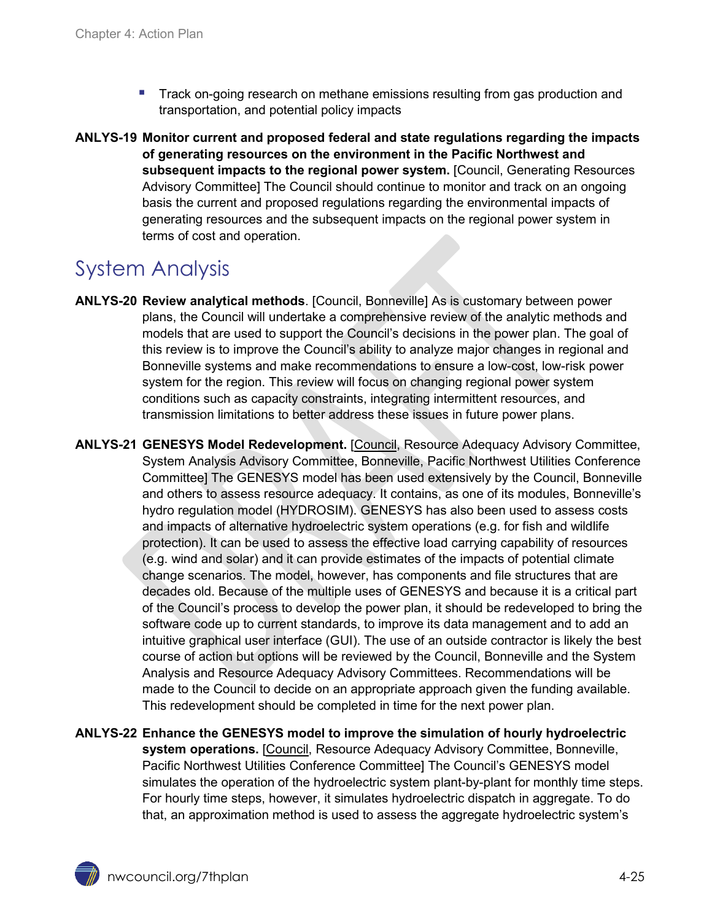- Track on-going research on methane emissions resulting from gas production and transportation, and potential policy impacts
- **ANLYS-19 Monitor current and proposed federal and state regulations regarding the impacts of generating resources on the environment in the Pacific Northwest and**  subsequent impacts to the regional power system. [Council, Generating Resources Advisory Committee] The Council should continue to monitor and track on an ongoing basis the current and proposed regulations regarding the environmental impacts of generating resources and the subsequent impacts on the regional power system in terms of cost and operation.

## <span id="page-24-0"></span>System Analysis

- **ANLYS-20 Review analytical methods**. [Council, Bonneville] As is customary between power plans, the Council will undertake a comprehensive review of the analytic methods and models that are used to support the Council's decisions in the power plan. The goal of this review is to improve the Council's ability to analyze major changes in regional and Bonneville systems and make recommendations to ensure a low-cost, low-risk power system for the region. This review will focus on changing regional power system conditions such as capacity constraints, integrating intermittent resources, and transmission limitations to better address these issues in future power plans.
- **ANLYS-21 GENESYS Model Redevelopment.** [Council, Resource Adequacy Advisory Committee, System Analysis Advisory Committee, Bonneville, Pacific Northwest Utilities Conference Committee] The GENESYS model has been used extensively by the Council, Bonneville and others to assess resource adequacy. It contains, as one of its modules, Bonneville's hydro regulation model (HYDROSIM). GENESYS has also been used to assess costs and impacts of alternative hydroelectric system operations (e.g. for fish and wildlife protection). It can be used to assess the effective load carrying capability of resources (e.g. wind and solar) and it can provide estimates of the impacts of potential climate change scenarios. The model, however, has components and file structures that are decades old. Because of the multiple uses of GENESYS and because it is a critical part of the Council's process to develop the power plan, it should be redeveloped to bring the software code up to current standards, to improve its data management and to add an intuitive graphical user interface (GUI). The use of an outside contractor is likely the best course of action but options will be reviewed by the Council, Bonneville and the System Analysis and Resource Adequacy Advisory Committees. Recommendations will be made to the Council to decide on an appropriate approach given the funding available. This redevelopment should be completed in time for the next power plan.
- **ANLYS-22 Enhance the GENESYS model to improve the simulation of hourly hydroelectric system operations.** [Council, Resource Adequacy Advisory Committee, Bonneville, Pacific Northwest Utilities Conference Committee] The Council's GENESYS model simulates the operation of the hydroelectric system plant-by-plant for monthly time steps. For hourly time steps, however, it simulates hydroelectric dispatch in aggregate. To do that, an approximation method is used to assess the aggregate hydroelectric system's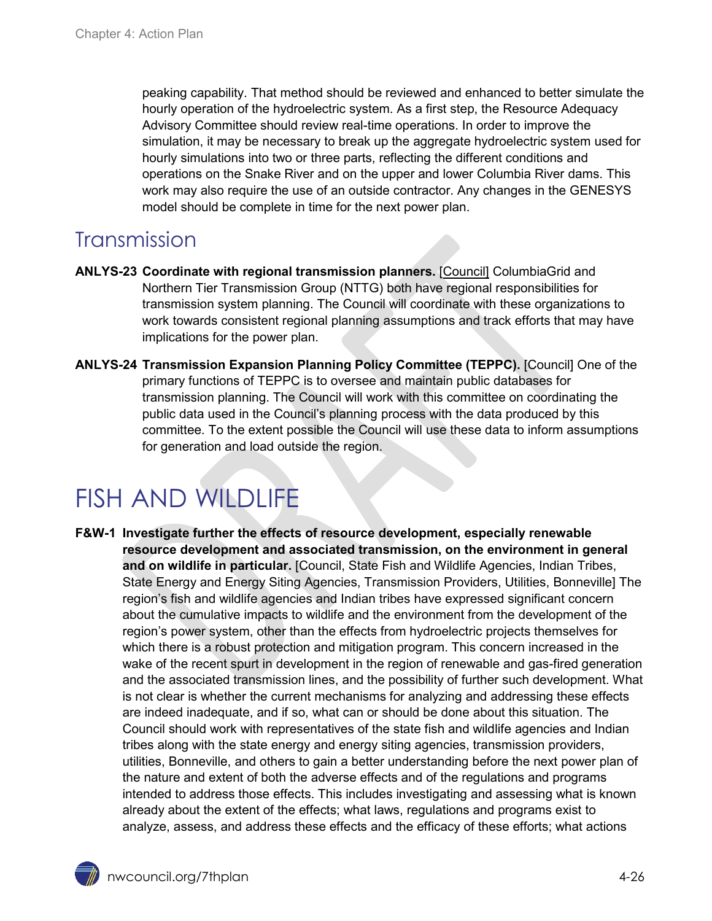peaking capability. That method should be reviewed and enhanced to better simulate the hourly operation of the hydroelectric system. As a first step, the Resource Adequacy Advisory Committee should review real-time operations. In order to improve the simulation, it may be necessary to break up the aggregate hydroelectric system used for hourly simulations into two or three parts, reflecting the different conditions and operations on the Snake River and on the upper and lower Columbia River dams. This work may also require the use of an outside contractor. Any changes in the GENESYS model should be complete in time for the next power plan.

### <span id="page-25-0"></span>**Transmission**

- **ANLYS-23 Coordinate with regional transmission planners.** [Council] ColumbiaGrid and Northern Tier Transmission Group (NTTG) both have regional responsibilities for transmission system planning. The Council will coordinate with these organizations to work towards consistent regional planning assumptions and track efforts that may have implications for the power plan.
- **ANLYS-24 Transmission Expansion Planning Policy Committee (TEPPC).** [Council] One of the primary functions of TEPPC is to oversee and maintain public databases for transmission planning. The Council will work with this committee on coordinating the public data used in the Council's planning process with the data produced by this committee. To the extent possible the Council will use these data to inform assumptions for generation and load outside the region.

# <span id="page-25-1"></span>FISH AND WILDLIFE

**F&W-1 Investigate further the effects of resource development, especially renewable resource development and associated transmission, on the environment in general and on wildlife in particular.** [Council, State Fish and Wildlife Agencies, Indian Tribes, State Energy and Energy Siting Agencies, Transmission Providers, Utilities, Bonneville] The region's fish and wildlife agencies and Indian tribes have expressed significant concern about the cumulative impacts to wildlife and the environment from the development of the region's power system, other than the effects from hydroelectric projects themselves for which there is a robust protection and mitigation program. This concern increased in the wake of the recent spurt in development in the region of renewable and gas-fired generation and the associated transmission lines, and the possibility of further such development. What is not clear is whether the current mechanisms for analyzing and addressing these effects are indeed inadequate, and if so, what can or should be done about this situation. The Council should work with representatives of the state fish and wildlife agencies and Indian tribes along with the state energy and energy siting agencies, transmission providers, utilities, Bonneville, and others to gain a better understanding before the next power plan of the nature and extent of both the adverse effects and of the regulations and programs intended to address those effects. This includes investigating and assessing what is known already about the extent of the effects; what laws, regulations and programs exist to analyze, assess, and address these effects and the efficacy of these efforts; what actions